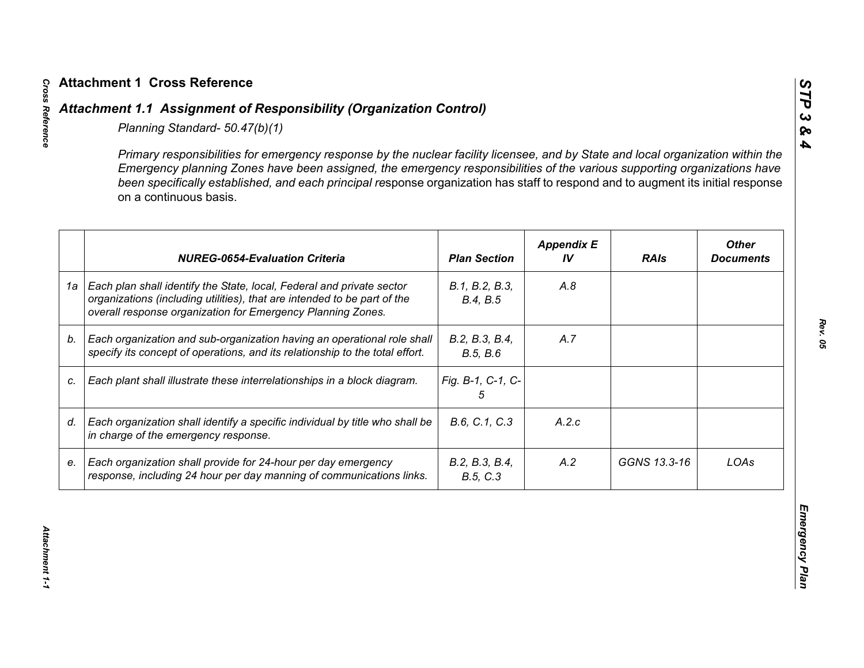|    | Primary responsibilities for emergency response by the nuclear facility licensee, and by State and local organization within the<br>Emergency planning Zones have been assigned, the emergency responsibilities of the various supporting organizations have<br>been specifically established, and each principal response organization has staff to respond and to augment its initial response<br>on a continuous basis. |                            |                         |              |                                  |
|----|----------------------------------------------------------------------------------------------------------------------------------------------------------------------------------------------------------------------------------------------------------------------------------------------------------------------------------------------------------------------------------------------------------------------------|----------------------------|-------------------------|--------------|----------------------------------|
|    | <b>NUREG-0654-Evaluation Criteria</b>                                                                                                                                                                                                                                                                                                                                                                                      | <b>Plan Section</b>        | <b>Appendix E</b><br>IV | <b>RAIs</b>  | <b>Other</b><br><b>Documents</b> |
| 1a | Each plan shall identify the State, local, Federal and private sector<br>organizations (including utilities), that are intended to be part of the<br>overall response organization for Emergency Planning Zones.                                                                                                                                                                                                           | B.1, B.2, B.3,<br>B.4, B.5 | A.8                     |              |                                  |
| b. | Each organization and sub-organization having an operational role shall<br>specify its concept of operations, and its relationship to the total effort.                                                                                                                                                                                                                                                                    | B.2, B.3, B.4,<br>B.5, B.6 | A.7                     |              |                                  |
| C. | Each plant shall illustrate these interrelationships in a block diagram.                                                                                                                                                                                                                                                                                                                                                   | Fig. B-1, C-1, C-<br>5     |                         |              |                                  |
| d. | Each organization shall identify a specific individual by title who shall be<br>in charge of the emergency response.                                                                                                                                                                                                                                                                                                       | B.6, C.1, C.3              | A.2.c                   |              |                                  |
| е. | Each organization shall provide for 24-hour per day emergency<br>response, including 24 hour per day manning of communications links.                                                                                                                                                                                                                                                                                      | B.2, B.3, B.4,<br>B.5, C.3 | A.2                     | GGNS 13.3-16 | LOAs                             |

*STP 3 & 4*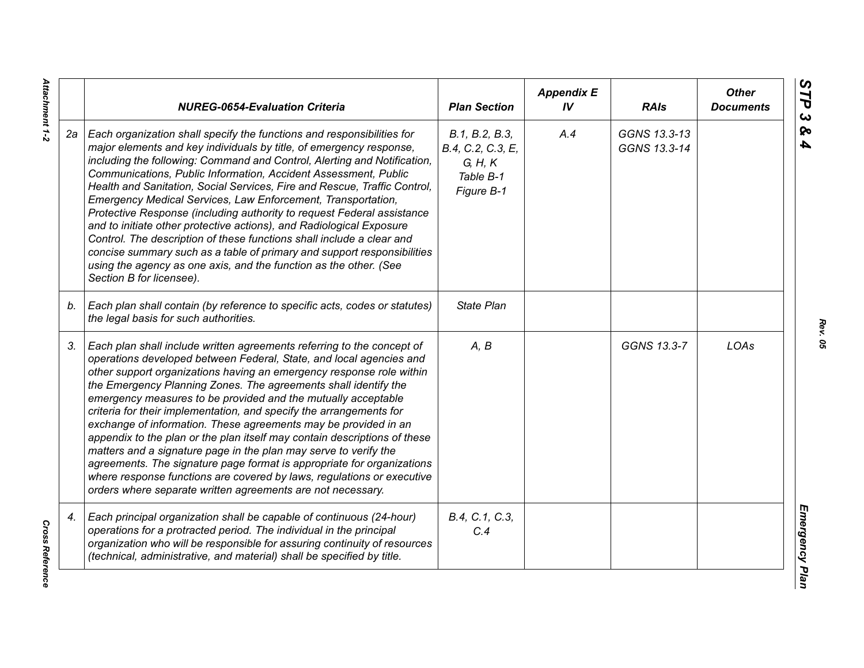|    | <b>NUREG-0654-Evaluation Criteria</b>                                                                                                                                                                                                                                                                                                                                                                                                                                                                                                                                                                                                                                                                                                                                                                                                                                   | <b>Plan Section</b>                                                       | <b>Appendix E</b><br>IV | <b>RAIs</b>                  | <b>Other</b><br><b>Documents</b> |
|----|-------------------------------------------------------------------------------------------------------------------------------------------------------------------------------------------------------------------------------------------------------------------------------------------------------------------------------------------------------------------------------------------------------------------------------------------------------------------------------------------------------------------------------------------------------------------------------------------------------------------------------------------------------------------------------------------------------------------------------------------------------------------------------------------------------------------------------------------------------------------------|---------------------------------------------------------------------------|-------------------------|------------------------------|----------------------------------|
| 2a | Each organization shall specify the functions and responsibilities for<br>major elements and key individuals by title, of emergency response,<br>including the following: Command and Control, Alerting and Notification,<br>Communications, Public Information, Accident Assessment, Public<br>Health and Sanitation, Social Services, Fire and Rescue, Traffic Control,<br>Emergency Medical Services, Law Enforcement, Transportation,<br>Protective Response (including authority to request Federal assistance<br>and to initiate other protective actions), and Radiological Exposure<br>Control. The description of these functions shall include a clear and<br>concise summary such as a table of primary and support responsibilities<br>using the agency as one axis, and the function as the other. (See<br>Section B for licensee).                        | B.1, B.2, B.3,<br>B.4, C.2, C.3, E,<br>G, H, K<br>Table B-1<br>Figure B-1 | A.4                     | GGNS 13.3-13<br>GGNS 13.3-14 |                                  |
| b. | Each plan shall contain (by reference to specific acts, codes or statutes)<br>the legal basis for such authorities.                                                                                                                                                                                                                                                                                                                                                                                                                                                                                                                                                                                                                                                                                                                                                     | State Plan                                                                |                         |                              |                                  |
| 3. | Each plan shall include written agreements referring to the concept of<br>operations developed between Federal, State, and local agencies and<br>other support organizations having an emergency response role within<br>the Emergency Planning Zones. The agreements shall identify the<br>emergency measures to be provided and the mutually acceptable<br>criteria for their implementation, and specify the arrangements for<br>exchange of information. These agreements may be provided in an<br>appendix to the plan or the plan itself may contain descriptions of these<br>matters and a signature page in the plan may serve to verify the<br>agreements. The signature page format is appropriate for organizations<br>where response functions are covered by laws, regulations or executive<br>orders where separate written agreements are not necessary. | A, B                                                                      |                         | GGNS 13.3-7                  | LOAs                             |
| 4. | Each principal organization shall be capable of continuous (24-hour)<br>operations for a protracted period. The individual in the principal<br>organization who will be responsible for assuring continuity of resources<br>(technical, administrative, and material) shall be specified by title.                                                                                                                                                                                                                                                                                                                                                                                                                                                                                                                                                                      | B.4, C.1, C.3,<br>C.4                                                     |                         |                              |                                  |

*Rev. 05*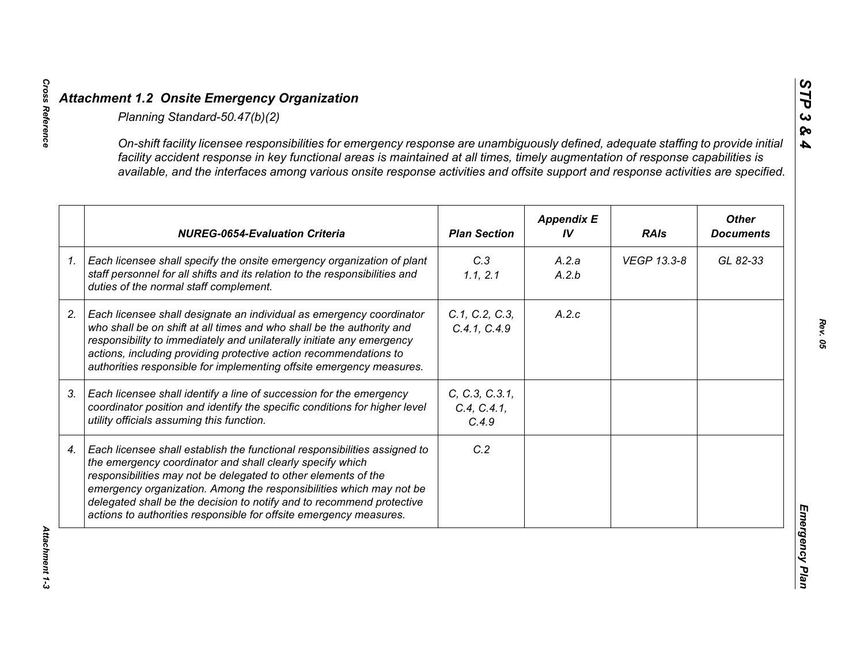| On-shift facility licensee responsibilities for emergency response are unambiguously defined, adequate staffing to provide initial<br>facility accident response in key functional areas is maintained at all times, timely augmentation of response capabilities is<br>available, and the interfaces among various onsite response activities and offsite support and response activities are specified.                      |                                        |                         |             |                                  |
|--------------------------------------------------------------------------------------------------------------------------------------------------------------------------------------------------------------------------------------------------------------------------------------------------------------------------------------------------------------------------------------------------------------------------------|----------------------------------------|-------------------------|-------------|----------------------------------|
| <b>NUREG-0654-Evaluation Criteria</b>                                                                                                                                                                                                                                                                                                                                                                                          | <b>Plan Section</b>                    | <b>Appendix E</b><br>IV | <b>RAIs</b> | <b>Other</b><br><b>Documents</b> |
| Each licensee shall specify the onsite emergency organization of plant<br>staff personnel for all shifts and its relation to the responsibilities and<br>duties of the normal staff complement.                                                                                                                                                                                                                                | C.3<br>1.1, 2.1                        | A.2.a<br>A.2.b          | VEGP 13.3-8 | GL 82-33                         |
| Each licensee shall designate an individual as emergency coordinator<br>who shall be on shift at all times and who shall be the authority and<br>responsibility to immediately and unilaterally initiate any emergency<br>actions, including providing protective action recommendations to<br>authorities responsible for implementing offsite emergency measures.                                                            | C.1, C.2, C.3,<br>C.4.1, C.4.9         | A.2.c                   |             |                                  |
| Each licensee shall identify a line of succession for the emergency<br>coordinator position and identify the specific conditions for higher level<br>utility officials assuming this function.                                                                                                                                                                                                                                 | C, C.3, C.3.1,<br>C.4, C.4.1,<br>C.4.9 |                         |             |                                  |
| Each licensee shall establish the functional responsibilities assigned to<br>the emergency coordinator and shall clearly specify which<br>responsibilities may not be delegated to other elements of the<br>emergency organization. Among the responsibilities which may not be<br>delegated shall be the decision to notify and to recommend protective<br>actions to authorities responsible for offsite emergency measures. | C.2                                    |                         |             |                                  |

*STP 3 & 4*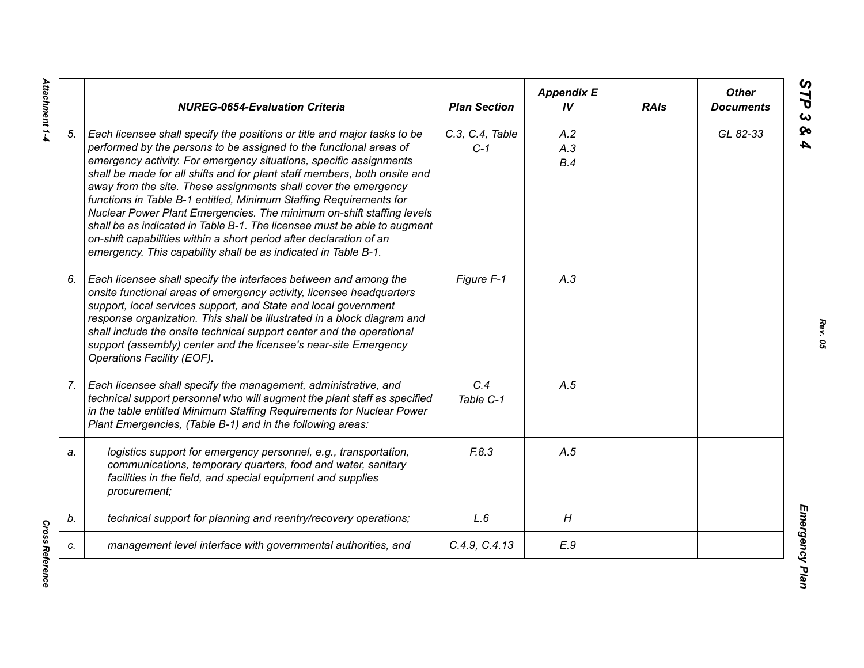|    | <b>NUREG-0654-Evaluation Criteria</b>                                                                                                                                                                                                                                                                                                                                                                                                                                                                                                                                                                                                                                                                                                    | <b>Plan Section</b>      | <b>Appendix E</b><br>IV | <b>RAIs</b> | <b>Other</b><br><b>Documents</b> |
|----|------------------------------------------------------------------------------------------------------------------------------------------------------------------------------------------------------------------------------------------------------------------------------------------------------------------------------------------------------------------------------------------------------------------------------------------------------------------------------------------------------------------------------------------------------------------------------------------------------------------------------------------------------------------------------------------------------------------------------------------|--------------------------|-------------------------|-------------|----------------------------------|
| 5. | Each licensee shall specify the positions or title and major tasks to be<br>performed by the persons to be assigned to the functional areas of<br>emergency activity. For emergency situations, specific assignments<br>shall be made for all shifts and for plant staff members, both onsite and<br>away from the site. These assignments shall cover the emergency<br>functions in Table B-1 entitled, Minimum Staffing Requirements for<br>Nuclear Power Plant Emergencies. The minimum on-shift staffing levels<br>shall be as indicated in Table B-1. The licensee must be able to augment<br>on-shift capabilities within a short period after declaration of an<br>emergency. This capability shall be as indicated in Table B-1. | C.3, C.4, Table<br>$C-1$ | A.2<br>A.3<br>B.4       |             | GL 82-33                         |
| 6. | Each licensee shall specify the interfaces between and among the<br>onsite functional areas of emergency activity, licensee headquarters<br>support, local services support, and State and local government<br>response organization. This shall be illustrated in a block diagram and<br>shall include the onsite technical support center and the operational<br>support (assembly) center and the licensee's near-site Emergency<br>Operations Facility (EOF).                                                                                                                                                                                                                                                                        | Figure F-1               | A.3                     |             |                                  |
| 7. | Each licensee shall specify the management, administrative, and<br>technical support personnel who will augment the plant staff as specified<br>in the table entitled Minimum Staffing Requirements for Nuclear Power<br>Plant Emergencies, (Table B-1) and in the following areas:                                                                                                                                                                                                                                                                                                                                                                                                                                                      | C.4<br>Table C-1         | A.5                     |             |                                  |
| a. | logistics support for emergency personnel, e.g., transportation,<br>communications, temporary quarters, food and water, sanitary<br>facilities in the field, and special equipment and supplies<br>procurement;                                                                                                                                                                                                                                                                                                                                                                                                                                                                                                                          | F.8.3                    | A.5                     |             |                                  |
| b. | technical support for planning and reentry/recovery operations;                                                                                                                                                                                                                                                                                                                                                                                                                                                                                                                                                                                                                                                                          | L.6                      | H                       |             |                                  |
| c. | management level interface with governmental authorities, and                                                                                                                                                                                                                                                                                                                                                                                                                                                                                                                                                                                                                                                                            | C.4.9, C.4.13            | E.9                     |             |                                  |

Attachment 1-4 *Attachment 1-4*

**Cross Reference** *Cross Reference*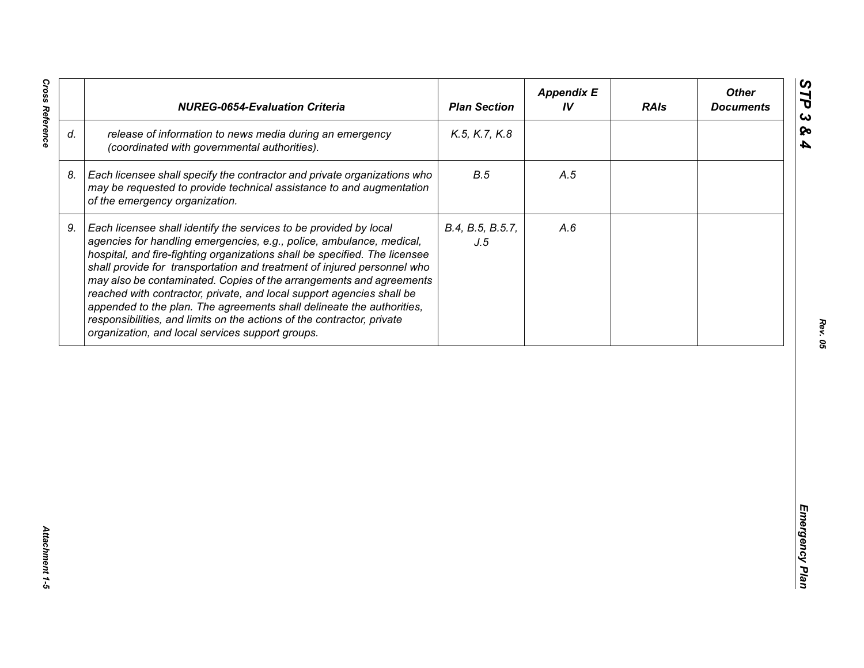| release of information to news media during an emergency<br>K.5, K.7, K.8<br>(coordinated with governmental authorities).<br>B.5<br>Each licensee shall specify the contractor and private organizations who<br>A.5<br>may be requested to provide technical assistance to and augmentation<br>of the emergency organization.<br>Each licensee shall identify the services to be provided by local<br>B.4, B.5, B.5.7,<br>A.6<br>agencies for handling emergencies, e.g., police, ambulance, medical,<br>J.5<br>hospital, and fire-fighting organizations shall be specified. The licensee<br>shall provide for transportation and treatment of injured personnel who<br>may also be contaminated. Copies of the arrangements and agreements<br>reached with contractor, private, and local support agencies shall be | appended to the plan. The agreements shall delineate the authorities,<br>responsibilities, and limits on the actions of the contractor, private<br>organization, and local services support groups. |    | <b>NUREG-0654-Evaluation Criteria</b> | <b>Plan Section</b> | <b>Appendix E</b><br>IV | <b>RAIs</b> | <b>Other</b><br><b>Documents</b> |
|-----------------------------------------------------------------------------------------------------------------------------------------------------------------------------------------------------------------------------------------------------------------------------------------------------------------------------------------------------------------------------------------------------------------------------------------------------------------------------------------------------------------------------------------------------------------------------------------------------------------------------------------------------------------------------------------------------------------------------------------------------------------------------------------------------------------------|-----------------------------------------------------------------------------------------------------------------------------------------------------------------------------------------------------|----|---------------------------------------|---------------------|-------------------------|-------------|----------------------------------|
|                                                                                                                                                                                                                                                                                                                                                                                                                                                                                                                                                                                                                                                                                                                                                                                                                       |                                                                                                                                                                                                     | d. |                                       |                     |                         |             |                                  |
|                                                                                                                                                                                                                                                                                                                                                                                                                                                                                                                                                                                                                                                                                                                                                                                                                       |                                                                                                                                                                                                     | 8. |                                       |                     |                         |             |                                  |
|                                                                                                                                                                                                                                                                                                                                                                                                                                                                                                                                                                                                                                                                                                                                                                                                                       |                                                                                                                                                                                                     | 9. |                                       |                     |                         |             |                                  |
|                                                                                                                                                                                                                                                                                                                                                                                                                                                                                                                                                                                                                                                                                                                                                                                                                       |                                                                                                                                                                                                     |    |                                       |                     |                         |             |                                  |
|                                                                                                                                                                                                                                                                                                                                                                                                                                                                                                                                                                                                                                                                                                                                                                                                                       |                                                                                                                                                                                                     |    |                                       |                     |                         |             |                                  |
|                                                                                                                                                                                                                                                                                                                                                                                                                                                                                                                                                                                                                                                                                                                                                                                                                       |                                                                                                                                                                                                     |    |                                       |                     |                         |             |                                  |

*Cross Reference Attachment 1-5* Attachment 1-5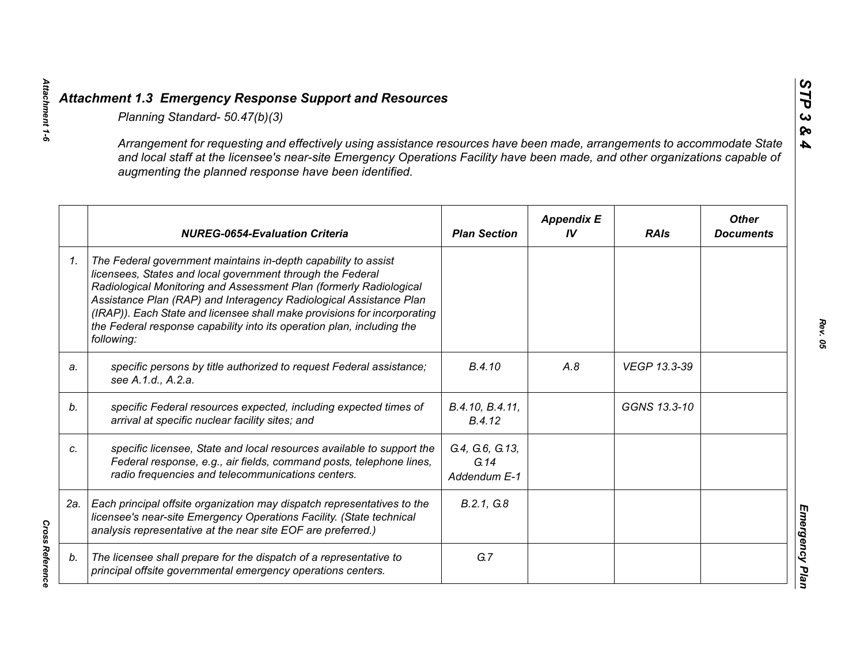|    | Planning Standard- 50.47(b)(3)                                                                                                                                                                                                                                                                                                                                                                                                               |                                         |                         |              |                                  |
|----|----------------------------------------------------------------------------------------------------------------------------------------------------------------------------------------------------------------------------------------------------------------------------------------------------------------------------------------------------------------------------------------------------------------------------------------------|-----------------------------------------|-------------------------|--------------|----------------------------------|
|    | Arrangement for requesting and effectively using assistance resources have been made, arrangements to accommodate State<br>and local staff at the licensee's near-site Emergency Operations Facility have been made, and other organizations capable of<br>augmenting the planned response have been identified.                                                                                                                             |                                         |                         |              |                                  |
|    | <b>NUREG-0654-Evaluation Criteria</b>                                                                                                                                                                                                                                                                                                                                                                                                        | <b>Plan Section</b>                     | <b>Appendix E</b><br>IV | <b>RAIs</b>  | <b>Other</b><br><b>Documents</b> |
| 1. | The Federal government maintains in-depth capability to assist<br>licensees, States and local government through the Federal<br>Radiological Monitoring and Assessment Plan (formerly Radiological<br>Assistance Plan (RAP) and Interagency Radiological Assistance Plan<br>(IRAP)). Each State and licensee shall make provisions for incorporating<br>the Federal response capability into its operation plan, including the<br>following: |                                         |                         |              |                                  |
| a. | specific persons by title authorized to request Federal assistance;<br>see A.1.d., A.2.a.                                                                                                                                                                                                                                                                                                                                                    | B.4.10                                  | A.8                     | VEGP 13.3-39 |                                  |
| b. | specific Federal resources expected, including expected times of<br>arrival at specific nuclear facility sites; and                                                                                                                                                                                                                                                                                                                          | B.4.10, B.4.11,<br>B.4.12               |                         | GGNS 13.3-10 |                                  |
| C. | specific licensee, State and local resources available to support the<br>Federal response, e.g., air fields, command posts, telephone lines,<br>radio frequencies and telecommunications centers.                                                                                                                                                                                                                                            | G.4, G.6, G.13,<br>G.14<br>Addendum E-1 |                         |              |                                  |
|    | 2a.   Each principal offsite organization may dispatch representatives to the<br>licensee's near-site Emergency Operations Facility. (State technical<br>analysis representative at the near site EOF are preferred.)                                                                                                                                                                                                                        | B.2.1, G.8                              |                         |              |                                  |
| b. | The licensee shall prepare for the dispatch of a representative to<br>principal offsite governmental emergency operations centers.                                                                                                                                                                                                                                                                                                           | G.7                                     |                         |              |                                  |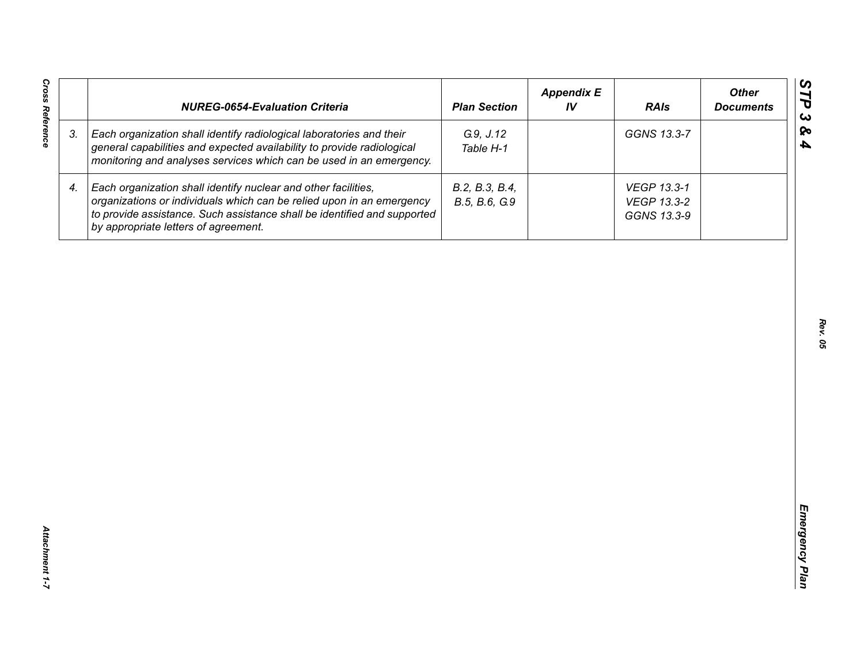| <b>Cross Reference</b> | <b>NUREG-0654-Evaluation Criteria</b>                                                                                                                                                                                                                       | <b>Plan Section</b>             | <b>Appendix E</b><br>IV | <b>RAIs</b>                               | <b>Other</b><br><b>Documents</b> |
|------------------------|-------------------------------------------------------------------------------------------------------------------------------------------------------------------------------------------------------------------------------------------------------------|---------------------------------|-------------------------|-------------------------------------------|----------------------------------|
| 3.                     | Each organization shall identify radiological laboratories and their<br>general capabilities and expected availability to provide radiological<br>monitoring and analyses services which can be used in an emergency.                                       | G.9, J.12<br>Table H-1          |                         | GGNS 13.3-7                               |                                  |
| 4.                     | Each organization shall identify nuclear and other facilities,<br>organizations or individuals which can be relied upon in an emergency<br>to provide assistance. Such assistance shall be identified and supported<br>by appropriate letters of agreement. | B.2, B.3, B.4,<br>B.5, B.6, G.9 |                         | VEGP 13.3-1<br>VEGP 13.3-2<br>GGNS 13.3-9 |                                  |
|                        |                                                                                                                                                                                                                                                             |                                 |                         |                                           |                                  |
|                        |                                                                                                                                                                                                                                                             |                                 |                         |                                           |                                  |
|                        |                                                                                                                                                                                                                                                             |                                 |                         |                                           |                                  |
|                        |                                                                                                                                                                                                                                                             |                                 |                         |                                           |                                  |
|                        |                                                                                                                                                                                                                                                             |                                 |                         |                                           |                                  |
|                        |                                                                                                                                                                                                                                                             |                                 |                         |                                           |                                  |
| Attachment 1-7         |                                                                                                                                                                                                                                                             |                                 |                         |                                           |                                  |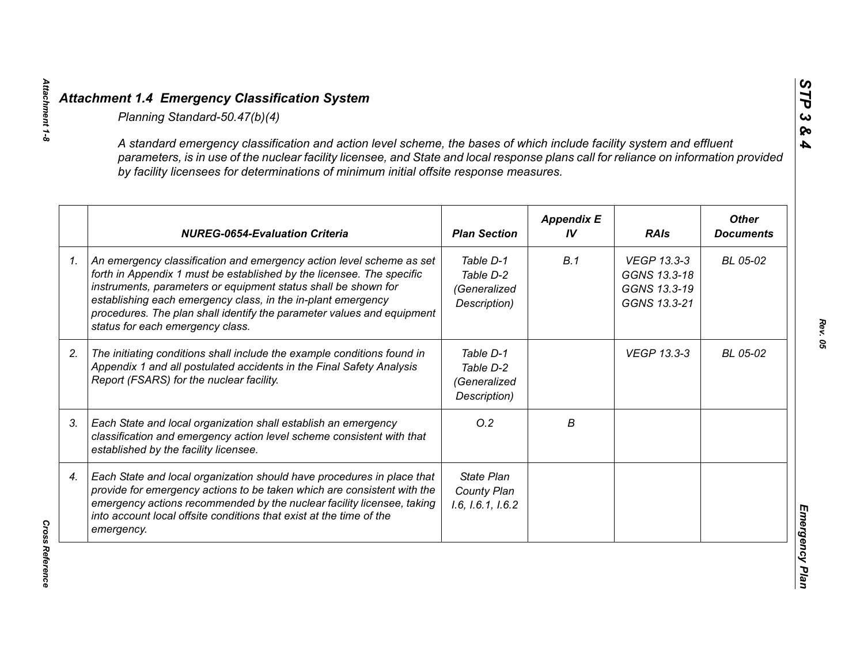| A standard emergency classification and action level scheme, the bases of which include facility system and effluent<br>parameters, is in use of the nuclear facility licensee, and State and local response plans call for reliance on information provided<br>by facility licensees for determinations of minimum initial offsite response measures.                                        |                                                        |                         |                                                             |                                  |
|-----------------------------------------------------------------------------------------------------------------------------------------------------------------------------------------------------------------------------------------------------------------------------------------------------------------------------------------------------------------------------------------------|--------------------------------------------------------|-------------------------|-------------------------------------------------------------|----------------------------------|
| <b>NUREG-0654-Evaluation Criteria</b>                                                                                                                                                                                                                                                                                                                                                         | <b>Plan Section</b>                                    | <b>Appendix E</b><br>IV | <b>RAIs</b>                                                 | <b>Other</b><br><b>Documents</b> |
| An emergency classification and emergency action level scheme as set<br>forth in Appendix 1 must be established by the licensee. The specific<br>instruments, parameters or equipment status shall be shown for<br>establishing each emergency class, in the in-plant emergency<br>procedures. The plan shall identify the parameter values and equipment<br>status for each emergency class. | Table D-1<br>Table D-2<br>(Generalized<br>Description) | B.1                     | VEGP 13.3-3<br>GGNS 13.3-18<br>GGNS 13.3-19<br>GGNS 13.3-21 | BL 05-02                         |
| The initiating conditions shall include the example conditions found in<br>Appendix 1 and all postulated accidents in the Final Safety Analysis<br>Report (FSARS) for the nuclear facility.                                                                                                                                                                                                   | Table D-1<br>Table D-2<br>(Generalized<br>Description) |                         | <b>VEGP 13.3-3</b>                                          | BL 05-02                         |
| Each State and local organization shall establish an emergency<br>classification and emergency action level scheme consistent with that<br>established by the facility licensee.                                                                                                                                                                                                              | O.2                                                    | В                       |                                                             |                                  |
| Each State and local organization should have procedures in place that<br>provide for emergency actions to be taken which are consistent with the<br>emergency actions recommended by the nuclear facility licensee, taking<br>into account local offsite conditions that exist at the time of the<br>emergency.                                                                              | <b>State Plan</b><br>County Plan<br>1.6, 1.6.1, 1.6.2  |                         |                                                             |                                  |

**Cross Reference** *Cross Reference* 

*Attachment 1-8*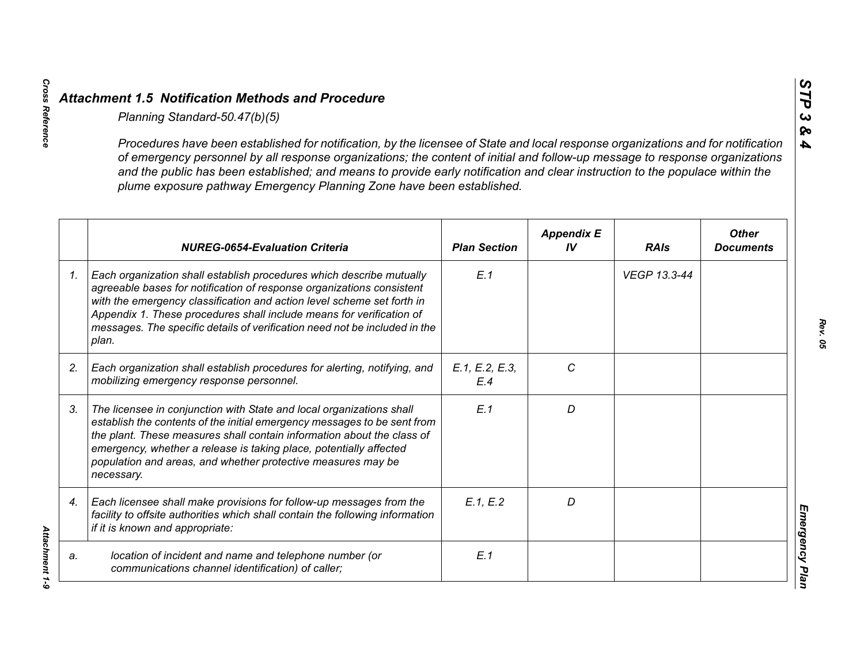|                 | Planning Standard-50.47(b)(5)                                                                                                                                                                                                                                                                                                                                                                                                                                               |                       |                         |              |                                  |
|-----------------|-----------------------------------------------------------------------------------------------------------------------------------------------------------------------------------------------------------------------------------------------------------------------------------------------------------------------------------------------------------------------------------------------------------------------------------------------------------------------------|-----------------------|-------------------------|--------------|----------------------------------|
|                 | Procedures have been established for notification, by the licensee of State and local response organizations and for notification<br>of emergency personnel by all response organizations; the content of initial and follow-up message to response organizations<br>and the public has been established; and means to provide early notification and clear instruction to the populace within the<br>plume exposure pathway Emergency Planning Zone have been established. |                       |                         |              |                                  |
|                 | <b>NUREG-0654-Evaluation Criteria</b>                                                                                                                                                                                                                                                                                                                                                                                                                                       | <b>Plan Section</b>   | <b>Appendix E</b><br>IV | <b>RAIs</b>  | <b>Other</b><br><b>Documents</b> |
| $\mathcal{I}$ . | Each organization shall establish procedures which describe mutually<br>agreeable bases for notification of response organizations consistent<br>with the emergency classification and action level scheme set forth in<br>Appendix 1. These procedures shall include means for verification of<br>messages. The specific details of verification need not be included in the<br>plan.                                                                                      | E.1                   |                         | VEGP 13.3-44 |                                  |
| 2.              | Each organization shall establish procedures for alerting, notifying, and<br>mobilizing emergency response personnel.                                                                                                                                                                                                                                                                                                                                                       | E.1, E.2, E.3,<br>E.4 | C                       |              |                                  |
| 3.              | The licensee in conjunction with State and local organizations shall<br>establish the contents of the initial emergency messages to be sent from<br>the plant. These measures shall contain information about the class of<br>emergency, whether a release is taking place, potentially affected<br>population and areas, and whether protective measures may be<br>necessary.                                                                                              | E.1                   | D                       |              |                                  |
| 4.              | Each licensee shall make provisions for follow-up messages from the<br>facility to offsite authorities which shall contain the following information<br>if it is known and appropriate:                                                                                                                                                                                                                                                                                     | E.1, E.2              | D                       |              |                                  |
| a.              | location of incident and name and telephone number (or<br>communications channel identification) of caller;                                                                                                                                                                                                                                                                                                                                                                 | E.1                   |                         |              |                                  |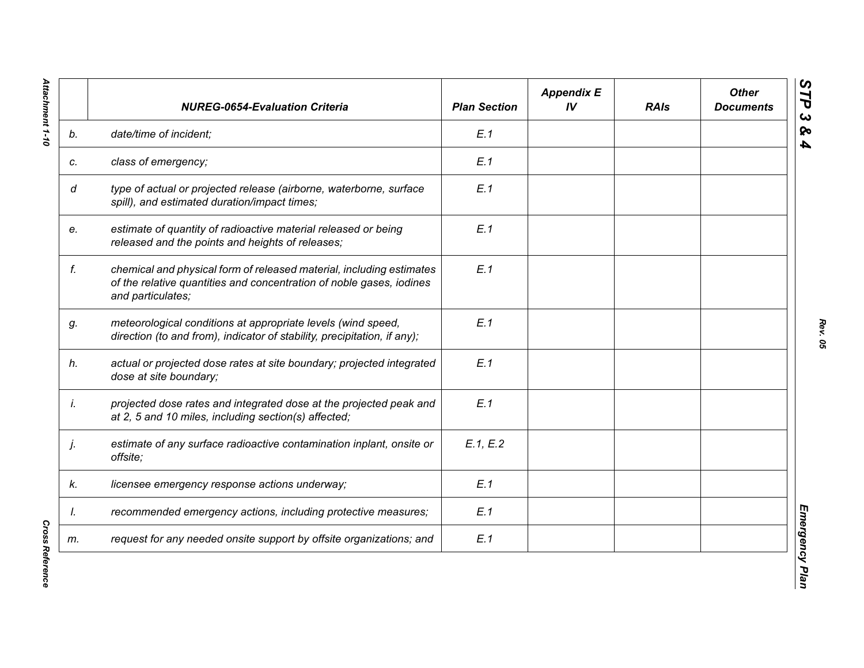|    | <b>NUREG-0654-Evaluation Criteria</b>                                                                                                                             | <b>Plan Section</b> | <b>Appendix E</b><br>IV | <b>RAIs</b> | <b>Other</b><br><b>Documents</b> |
|----|-------------------------------------------------------------------------------------------------------------------------------------------------------------------|---------------------|-------------------------|-------------|----------------------------------|
| b. | date/time of incident;                                                                                                                                            | E.1                 |                         |             |                                  |
| c. | class of emergency;                                                                                                                                               | E.1                 |                         |             |                                  |
| d  | type of actual or projected release (airborne, waterborne, surface<br>spill), and estimated duration/impact times;                                                | E.1                 |                         |             |                                  |
| e. | estimate of quantity of radioactive material released or being<br>released and the points and heights of releases;                                                | E.1                 |                         |             |                                  |
| f. | chemical and physical form of released material, including estimates<br>of the relative quantities and concentration of noble gases, iodines<br>and particulates; | E.1                 |                         |             |                                  |
| g. | meteorological conditions at appropriate levels (wind speed,<br>direction (to and from), indicator of stability, precipitation, if any);                          | E.1                 |                         |             |                                  |
| h. | actual or projected dose rates at site boundary; projected integrated<br>dose at site boundary;                                                                   | E.1                 |                         |             |                                  |
| İ. | projected dose rates and integrated dose at the projected peak and<br>at 2, 5 and 10 miles, including section(s) affected;                                        | E.1                 |                         |             |                                  |
| j. | estimate of any surface radioactive contamination inplant, onsite or<br>offsite;                                                                                  | E.1, E.2            |                         |             |                                  |
| k. | licensee emergency response actions underway;                                                                                                                     | E.1                 |                         |             |                                  |
| I. | recommended emergency actions, including protective measures;                                                                                                     | E.1                 |                         |             |                                  |
| m. | request for any needed onsite support by offsite organizations; and                                                                                               | E.1                 |                         |             |                                  |

**Cross Reference** *Cross Reference*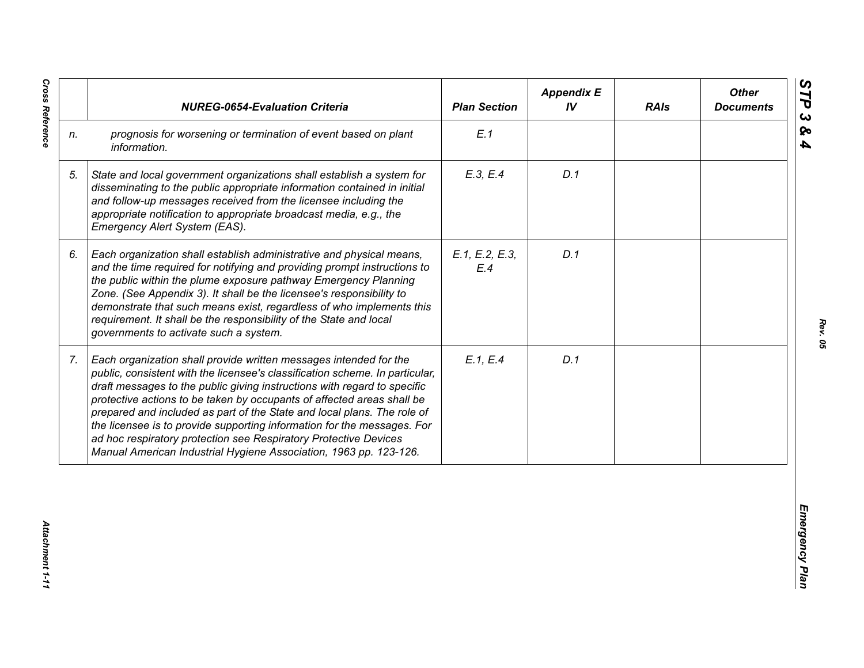|                | <b>NUREG-0654-Evaluation Criteria</b>                                                                                                                                                                                                                                                                                                                                                                                                                                                                                                                                                                  | <b>Plan Section</b>   | <b>Appendix E</b><br>IV | <b>RAIs</b> | <b>Other</b><br><b>Documents</b> |
|----------------|--------------------------------------------------------------------------------------------------------------------------------------------------------------------------------------------------------------------------------------------------------------------------------------------------------------------------------------------------------------------------------------------------------------------------------------------------------------------------------------------------------------------------------------------------------------------------------------------------------|-----------------------|-------------------------|-------------|----------------------------------|
| n.             | prognosis for worsening or termination of event based on plant<br>information.                                                                                                                                                                                                                                                                                                                                                                                                                                                                                                                         | E.1                   |                         |             |                                  |
| 5.             | State and local government organizations shall establish a system for<br>disseminating to the public appropriate information contained in initial<br>and follow-up messages received from the licensee including the<br>appropriate notification to appropriate broadcast media, e.g., the<br>Emergency Alert System (EAS).                                                                                                                                                                                                                                                                            | E.3, E.4              | D.1                     |             |                                  |
| 6.             | Each organization shall establish administrative and physical means,<br>and the time required for notifying and providing prompt instructions to<br>the public within the plume exposure pathway Emergency Planning<br>Zone. (See Appendix 3). It shall be the licensee's responsibility to<br>demonstrate that such means exist, regardless of who implements this<br>requirement. It shall be the responsibility of the State and local<br>governments to activate such a system.                                                                                                                    | E.1, E.2, E.3,<br>E.4 | D.1                     |             |                                  |
| 7 <sub>1</sub> | Each organization shall provide written messages intended for the<br>public, consistent with the licensee's classification scheme. In particular,<br>draft messages to the public giving instructions with regard to specific<br>protective actions to be taken by occupants of affected areas shall be<br>prepared and included as part of the State and local plans. The role of<br>the licensee is to provide supporting information for the messages. For<br>ad hoc respiratory protection see Respiratory Protective Devices<br>Manual American Industrial Hygiene Association, 1963 pp. 123-126. | E.1, E.4              | D.1                     |             |                                  |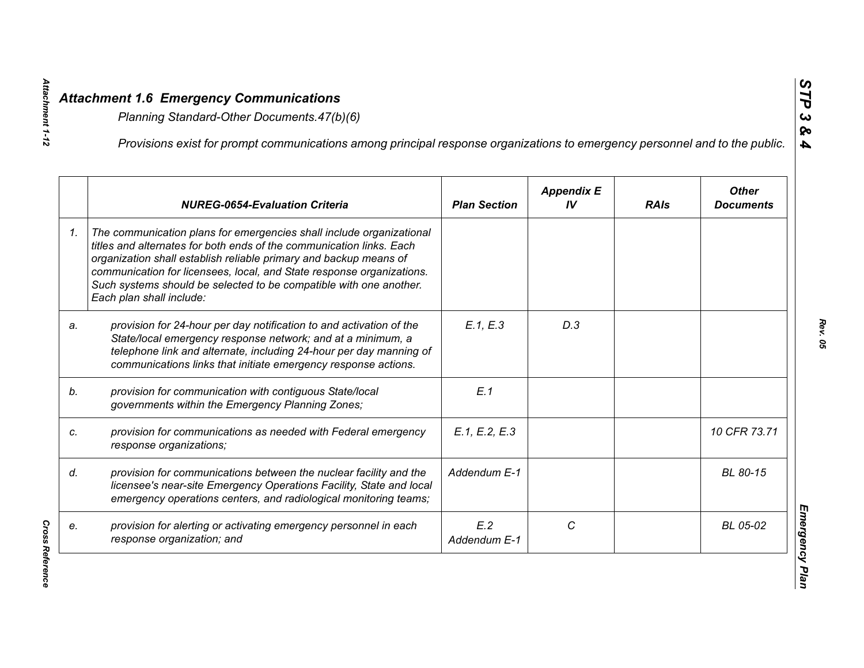|    | Provisions exist for prompt communications among principal response organizations to emergency personnel and to the public.                                                                                                                                                                                                                                                                  |                     |                         |             |                                  |
|----|----------------------------------------------------------------------------------------------------------------------------------------------------------------------------------------------------------------------------------------------------------------------------------------------------------------------------------------------------------------------------------------------|---------------------|-------------------------|-------------|----------------------------------|
|    | <b>NUREG-0654-Evaluation Criteria</b>                                                                                                                                                                                                                                                                                                                                                        | <b>Plan Section</b> | <b>Appendix E</b><br>IV | <b>RAIs</b> | <b>Other</b><br><b>Documents</b> |
| 1. | The communication plans for emergencies shall include organizational<br>titles and alternates for both ends of the communication links. Each<br>organization shall establish reliable primary and backup means of<br>communication for licensees, local, and State response organizations.<br>Such systems should be selected to be compatible with one another.<br>Each plan shall include: |                     |                         |             |                                  |
| a. | provision for 24-hour per day notification to and activation of the<br>State/local emergency response network; and at a minimum, a<br>telephone link and alternate, including 24-hour per day manning of<br>communications links that initiate emergency response actions.                                                                                                                   | E.1, E.3            | D.3                     |             |                                  |
|    | provision for communication with contiguous State/local<br>governments within the Emergency Planning Zones;                                                                                                                                                                                                                                                                                  | E.1                 |                         |             |                                  |
|    | provision for communications as needed with Federal emergency<br>response organizations;                                                                                                                                                                                                                                                                                                     | E.1, E.2, E.3       |                         |             | 10 CFR 73.71                     |
|    | provision for communications between the nuclear facility and the<br>licensee's near-site Emergency Operations Facility, State and local<br>emergency operations centers, and radiological monitoring teams;                                                                                                                                                                                 | Addendum E-1        |                         |             | BL 80-15                         |
|    | provision for alerting or activating emergency personnel in each<br>response organization; and                                                                                                                                                                                                                                                                                               | E.2<br>Addendum E-1 | C                       |             | BL 05-02                         |

**Cross Reference** *Cross Reference* 

*Attachment 1-12*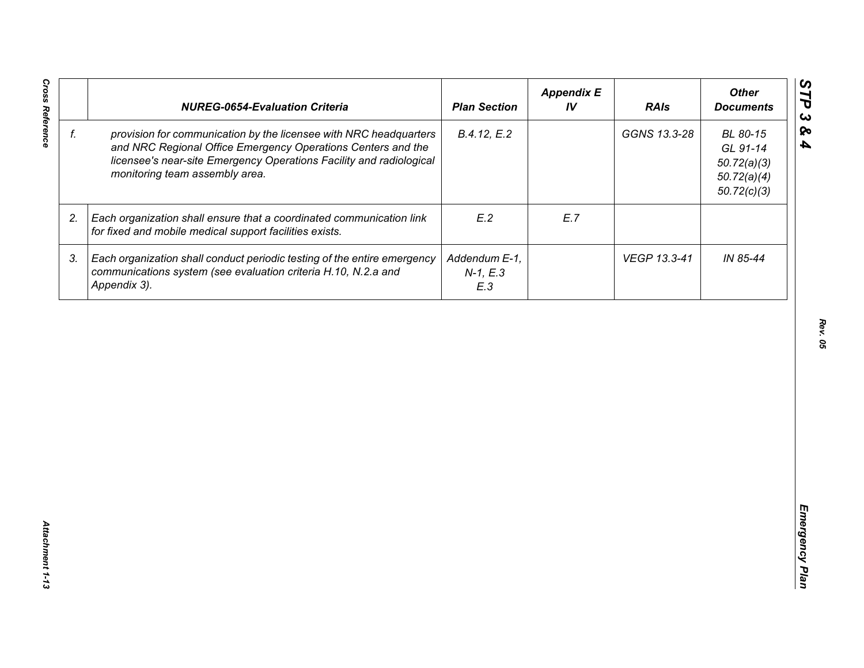| f. |                                                                                                                                                                                                                                            | <b>Plan Section</b>                | IV  | <b>RAIs</b>  | <b>Other</b><br><b>Documents</b>                                  |
|----|--------------------------------------------------------------------------------------------------------------------------------------------------------------------------------------------------------------------------------------------|------------------------------------|-----|--------------|-------------------------------------------------------------------|
|    | provision for communication by the licensee with NRC headquarters<br>and NRC Regional Office Emergency Operations Centers and the<br>licensee's near-site Emergency Operations Facility and radiological<br>monitoring team assembly area. | B.4.12, E.2                        |     | GGNS 13.3-28 | BL 80-15<br>GL 91-14<br>50.72(a)(3)<br>50.72(a)(4)<br>50.72(c)(3) |
| 2. | Each organization shall ensure that a coordinated communication link<br>for fixed and mobile medical support facilities exists.                                                                                                            | E.2                                | E.7 |              |                                                                   |
| 3. | Each organization shall conduct periodic testing of the entire emergency<br>communications system (see evaluation criteria H.10, N.2.a and<br>Appendix 3).                                                                                 | Addendum E-1,<br>$N-1, E.3$<br>E.3 |     | VEGP 13.3-41 | IN 85-44                                                          |
|    |                                                                                                                                                                                                                                            |                                    |     |              |                                                                   |
|    |                                                                                                                                                                                                                                            |                                    |     |              |                                                                   |
|    |                                                                                                                                                                                                                                            |                                    |     |              |                                                                   |
|    |                                                                                                                                                                                                                                            |                                    |     |              |                                                                   |
|    |                                                                                                                                                                                                                                            |                                    |     |              |                                                                   |
|    |                                                                                                                                                                                                                                            |                                    |     |              |                                                                   |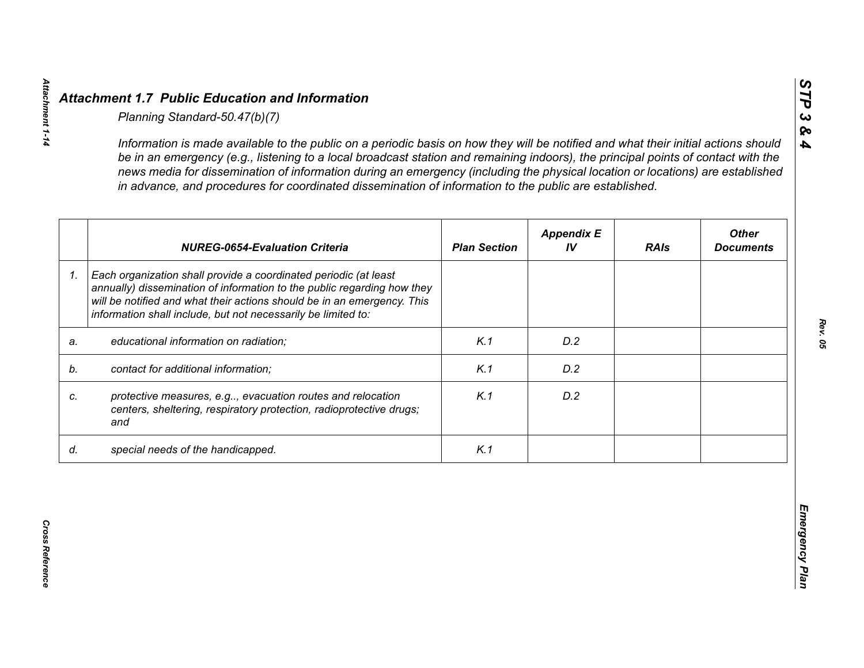|    | <b>NUREG-0654-Evaluation Criteria</b>                                                                                                                                                                                                                                                   | <b>Plan Section</b> | <b>Appendix E</b><br>IV | <b>RAIs</b> | <b>Other</b><br><b>Documents</b> |
|----|-----------------------------------------------------------------------------------------------------------------------------------------------------------------------------------------------------------------------------------------------------------------------------------------|---------------------|-------------------------|-------------|----------------------------------|
| 1. | Each organization shall provide a coordinated periodic (at least<br>annually) dissemination of information to the public regarding how they<br>will be notified and what their actions should be in an emergency. This<br>information shall include, but not necessarily be limited to: |                     |                         |             |                                  |
| a. | educational information on radiation;                                                                                                                                                                                                                                                   | K.1                 | D.2                     |             |                                  |
| b. | contact for additional information;                                                                                                                                                                                                                                                     | K.1                 | D.2                     |             |                                  |
|    | protective measures, e.g, evacuation routes and relocation<br>centers, sheltering, respiratory protection, radioprotective drugs;<br>and                                                                                                                                                | K.1                 | D.2                     |             |                                  |
| d. | special needs of the handicapped.                                                                                                                                                                                                                                                       | K.1                 |                         |             |                                  |

*STP 3 & 4*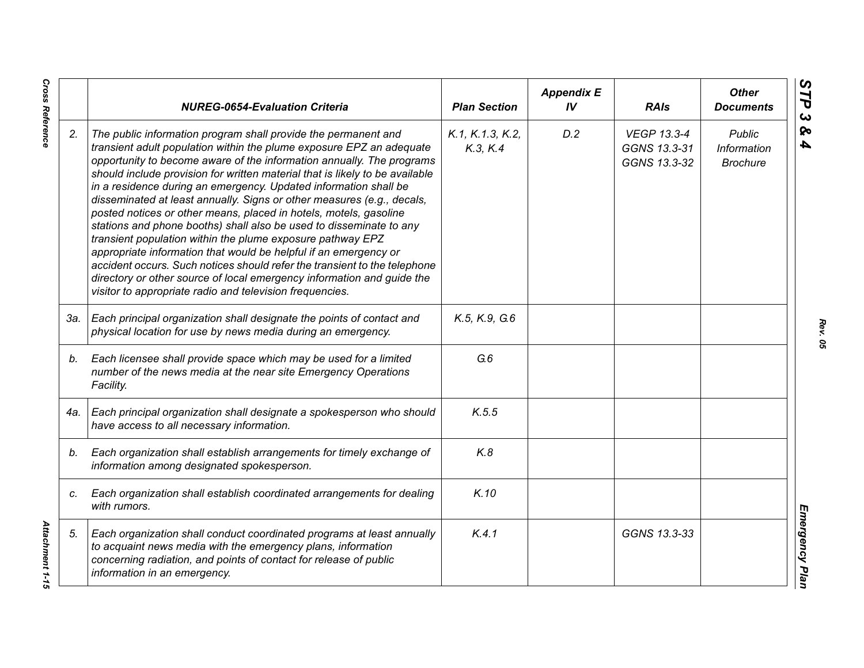|     | <b>NUREG-0654-Evaluation Criteria</b>                                                                                                                                                                                                                                                                                                                                                                                                                                                                                                                                                                                                                                                                                                                                                                                                                                                                                                          | <b>Plan Section</b>          | <b>Appendix E</b><br>IV | <b>RAIs</b>                                        | <b>Other</b><br><b>Documents</b>                |
|-----|------------------------------------------------------------------------------------------------------------------------------------------------------------------------------------------------------------------------------------------------------------------------------------------------------------------------------------------------------------------------------------------------------------------------------------------------------------------------------------------------------------------------------------------------------------------------------------------------------------------------------------------------------------------------------------------------------------------------------------------------------------------------------------------------------------------------------------------------------------------------------------------------------------------------------------------------|------------------------------|-------------------------|----------------------------------------------------|-------------------------------------------------|
| 2.  | The public information program shall provide the permanent and<br>transient adult population within the plume exposure EPZ an adequate<br>opportunity to become aware of the information annually. The programs<br>should include provision for written material that is likely to be available<br>in a residence during an emergency. Updated information shall be<br>disseminated at least annually. Signs or other measures (e.g., decals,<br>posted notices or other means, placed in hotels, motels, gasoline<br>stations and phone booths) shall also be used to disseminate to any<br>transient population within the plume exposure pathway EPZ<br>appropriate information that would be helpful if an emergency or<br>accident occurs. Such notices should refer the transient to the telephone<br>directory or other source of local emergency information and guide the<br>visitor to appropriate radio and television frequencies. | K.1, K.1.3, K.2,<br>K.3, K.4 | D.2                     | <b>VEGP 13.3-4</b><br>GGNS 13.3-31<br>GGNS 13.3-32 | <b>Public</b><br>Information<br><b>Brochure</b> |
| 3а. | Each principal organization shall designate the points of contact and<br>physical location for use by news media during an emergency.                                                                                                                                                                                                                                                                                                                                                                                                                                                                                                                                                                                                                                                                                                                                                                                                          | K.5, K.9, G.6                |                         |                                                    |                                                 |
| b.  | Each licensee shall provide space which may be used for a limited<br>number of the news media at the near site Emergency Operations<br>Facility.                                                                                                                                                                                                                                                                                                                                                                                                                                                                                                                                                                                                                                                                                                                                                                                               | G.6                          |                         |                                                    |                                                 |
| 4a. | Each principal organization shall designate a spokesperson who should<br>have access to all necessary information.                                                                                                                                                                                                                                                                                                                                                                                                                                                                                                                                                                                                                                                                                                                                                                                                                             | K.5.5                        |                         |                                                    |                                                 |
| b.  | Each organization shall establish arrangements for timely exchange of<br>information among designated spokesperson.                                                                                                                                                                                                                                                                                                                                                                                                                                                                                                                                                                                                                                                                                                                                                                                                                            | K.8                          |                         |                                                    |                                                 |
| C.  | Each organization shall establish coordinated arrangements for dealing<br>with rumors.                                                                                                                                                                                                                                                                                                                                                                                                                                                                                                                                                                                                                                                                                                                                                                                                                                                         | K.10                         |                         |                                                    |                                                 |
| 5.  | Each organization shall conduct coordinated programs at least annually<br>to acquaint news media with the emergency plans, information<br>concerning radiation, and points of contact for release of public<br>information in an emergency.                                                                                                                                                                                                                                                                                                                                                                                                                                                                                                                                                                                                                                                                                                    | K.4.1                        |                         | GGNS 13.3-33                                       |                                                 |

*Rev. 05*

**Cross Reference** 

*Cross Reference Attachment 1-15* Attachment 1-15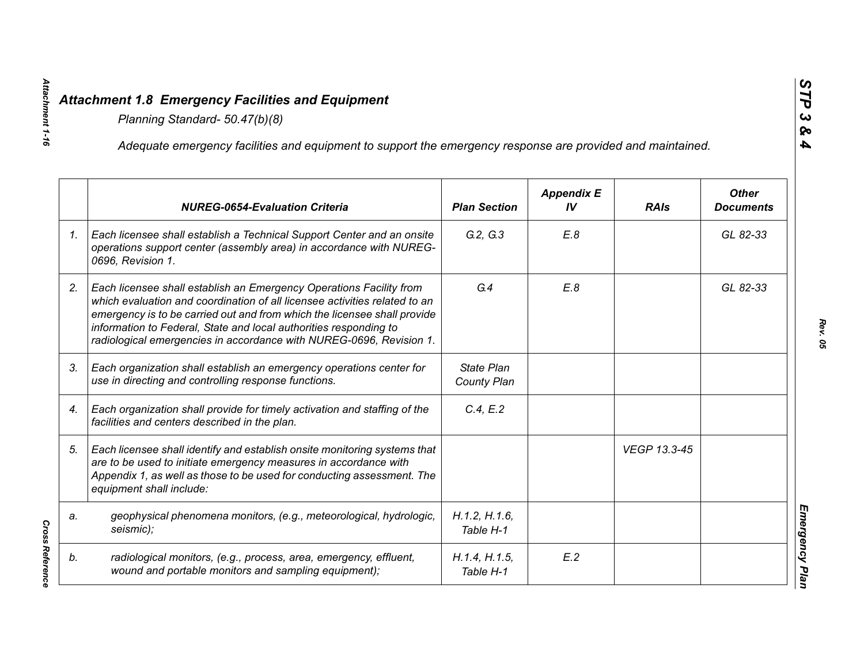|    | Adequate emergency facilities and equipment to support the emergency response are provided and maintained.                                                                                                                                                                                                                                                                |                                  |                         |              |                                  |
|----|---------------------------------------------------------------------------------------------------------------------------------------------------------------------------------------------------------------------------------------------------------------------------------------------------------------------------------------------------------------------------|----------------------------------|-------------------------|--------------|----------------------------------|
|    | <b>NUREG-0654-Evaluation Criteria</b>                                                                                                                                                                                                                                                                                                                                     | <b>Plan Section</b>              | <b>Appendix E</b><br>IV | <b>RAIs</b>  | <b>Other</b><br><b>Documents</b> |
| 1. | Each licensee shall establish a Technical Support Center and an onsite<br>operations support center (assembly area) in accordance with NUREG-<br>0696, Revision 1.                                                                                                                                                                                                        | G.2, G.3                         | E.8                     |              | GL 82-33                         |
| 2. | Each licensee shall establish an Emergency Operations Facility from<br>which evaluation and coordination of all licensee activities related to an<br>emergency is to be carried out and from which the licensee shall provide<br>information to Federal, State and local authorities responding to<br>radiological emergencies in accordance with NUREG-0696, Revision 1. | G.4                              | E.8                     |              | GL 82-33                         |
| 3. | Each organization shall establish an emergency operations center for<br>use in directing and controlling response functions.                                                                                                                                                                                                                                              | <b>State Plan</b><br>County Plan |                         |              |                                  |
| 4. | Each organization shall provide for timely activation and staffing of the<br>facilities and centers described in the plan.                                                                                                                                                                                                                                                | C.4, E.2                         |                         |              |                                  |
| 5. | Each licensee shall identify and establish onsite monitoring systems that<br>are to be used to initiate emergency measures in accordance with<br>Appendix 1, as well as those to be used for conducting assessment. The<br>equipment shall include:                                                                                                                       |                                  |                         | VEGP 13.3-45 |                                  |
| a. | geophysical phenomena monitors, (e.g., meteorological, hydrologic,<br>seismic);                                                                                                                                                                                                                                                                                           | H.1.2, H.1.6,<br>Table H-1       |                         |              |                                  |
| b. | radiological monitors, (e.g., process, area, emergency, effluent,<br>wound and portable monitors and sampling equipment);                                                                                                                                                                                                                                                 | H.1.4, H.1.5,<br>Table H-1       | E.2                     |              |                                  |

*Attachment 1-16*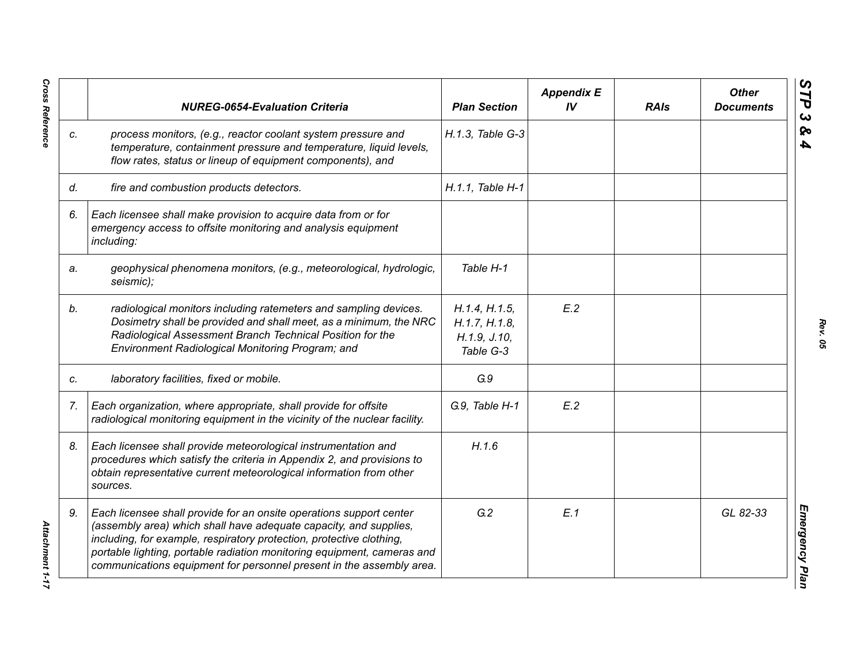|    | <b>NUREG-0654-Evaluation Criteria</b>                                                                                                                                                                                                                                                                                                                               | <b>Plan Section</b>                                         | <b>Appendix E</b><br>IV | <b>RAIs</b> | <b>Other</b><br><b>Documents</b> |
|----|---------------------------------------------------------------------------------------------------------------------------------------------------------------------------------------------------------------------------------------------------------------------------------------------------------------------------------------------------------------------|-------------------------------------------------------------|-------------------------|-------------|----------------------------------|
| C. | process monitors, (e.g., reactor coolant system pressure and<br>temperature, containment pressure and temperature, liquid levels,<br>flow rates, status or lineup of equipment components), and                                                                                                                                                                     | H.1.3, Table G-3                                            |                         |             |                                  |
| d. | fire and combustion products detectors.                                                                                                                                                                                                                                                                                                                             | H.1.1. Table H-1                                            |                         |             |                                  |
| 6. | Each licensee shall make provision to acquire data from or for<br>emergency access to offsite monitoring and analysis equipment<br>including:                                                                                                                                                                                                                       |                                                             |                         |             |                                  |
| a. | geophysical phenomena monitors, (e.g., meteorological, hydrologic,<br>seismic);                                                                                                                                                                                                                                                                                     | Table H-1                                                   |                         |             |                                  |
| b. | radiological monitors including ratemeters and sampling devices.<br>Dosimetry shall be provided and shall meet, as a minimum, the NRC<br>Radiological Assessment Branch Technical Position for the<br>Environment Radiological Monitoring Program; and                                                                                                              | H.1.4, H.1.5,<br>H.1.7, H.1.8,<br>H.1.9, J.10,<br>Table G-3 | E.2                     |             |                                  |
| C. | laboratory facilities, fixed or mobile.                                                                                                                                                                                                                                                                                                                             | G.9                                                         |                         |             |                                  |
| 7. | Each organization, where appropriate, shall provide for offsite<br>radiological monitoring equipment in the vicinity of the nuclear facility.                                                                                                                                                                                                                       | G.9, Table H-1                                              | E.2                     |             |                                  |
| 8. | Each licensee shall provide meteorological instrumentation and<br>procedures which satisfy the criteria in Appendix 2, and provisions to<br>obtain representative current meteorological information from other<br>sources.                                                                                                                                         | H.1.6                                                       |                         |             |                                  |
| 9. | Each licensee shall provide for an onsite operations support center<br>(assembly area) which shall have adequate capacity, and supplies,<br>including, for example, respiratory protection, protective clothing,<br>portable lighting, portable radiation monitoring equipment, cameras and<br>communications equipment for personnel present in the assembly area. | G.2                                                         | E.1                     |             | GL 82-33                         |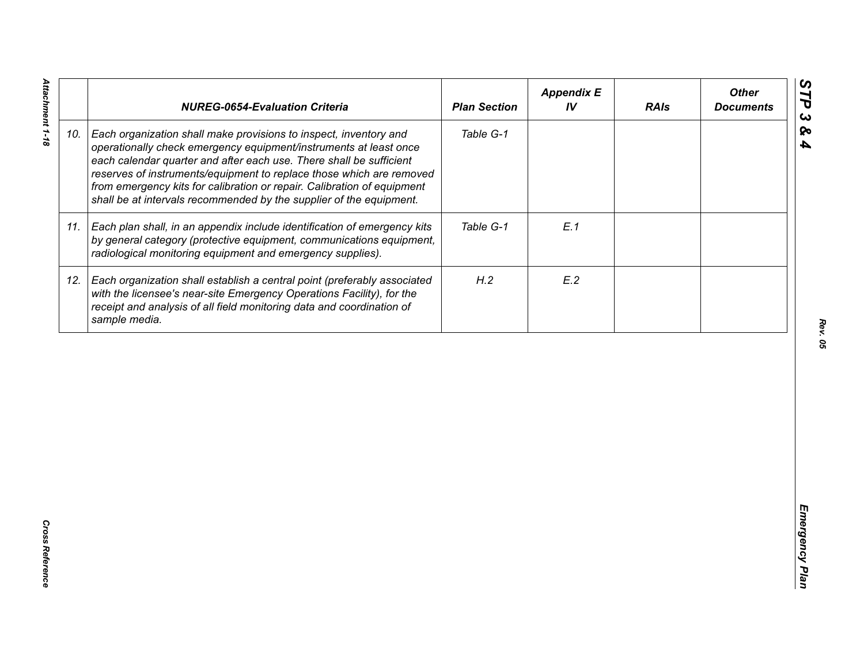|     | <b>NUREG-0654-Evaluation Criteria</b>                                                                                                                                                                                                                                                                                                                                                                                                   | <b>Plan Section</b> | <b>Appendix E</b><br>IV | <b>RAIs</b> | <b>Other</b><br><b>Documents</b> |
|-----|-----------------------------------------------------------------------------------------------------------------------------------------------------------------------------------------------------------------------------------------------------------------------------------------------------------------------------------------------------------------------------------------------------------------------------------------|---------------------|-------------------------|-------------|----------------------------------|
| 10. | Each organization shall make provisions to inspect, inventory and<br>operationally check emergency equipment/instruments at least once<br>each calendar quarter and after each use. There shall be sufficient<br>reserves of instruments/equipment to replace those which are removed<br>from emergency kits for calibration or repair. Calibration of equipment<br>shall be at intervals recommended by the supplier of the equipment. | Table G-1           |                         |             |                                  |
| 11. | Each plan shall, in an appendix include identification of emergency kits<br>by general category (protective equipment, communications equipment,<br>radiological monitoring equipment and emergency supplies).                                                                                                                                                                                                                          | Table G-1           | E.1                     |             |                                  |
| 12. | Each organization shall establish a central point (preferably associated<br>with the licensee's near-site Emergency Operations Facility), for the<br>receipt and analysis of all field monitoring data and coordination of<br>sample media.                                                                                                                                                                                             | H.2                 | E.2                     |             |                                  |
|     |                                                                                                                                                                                                                                                                                                                                                                                                                                         |                     |                         |             |                                  |
|     |                                                                                                                                                                                                                                                                                                                                                                                                                                         |                     |                         |             |                                  |
|     |                                                                                                                                                                                                                                                                                                                                                                                                                                         |                     |                         |             |                                  |
|     |                                                                                                                                                                                                                                                                                                                                                                                                                                         |                     |                         |             |                                  |
|     |                                                                                                                                                                                                                                                                                                                                                                                                                                         |                     |                         |             |                                  |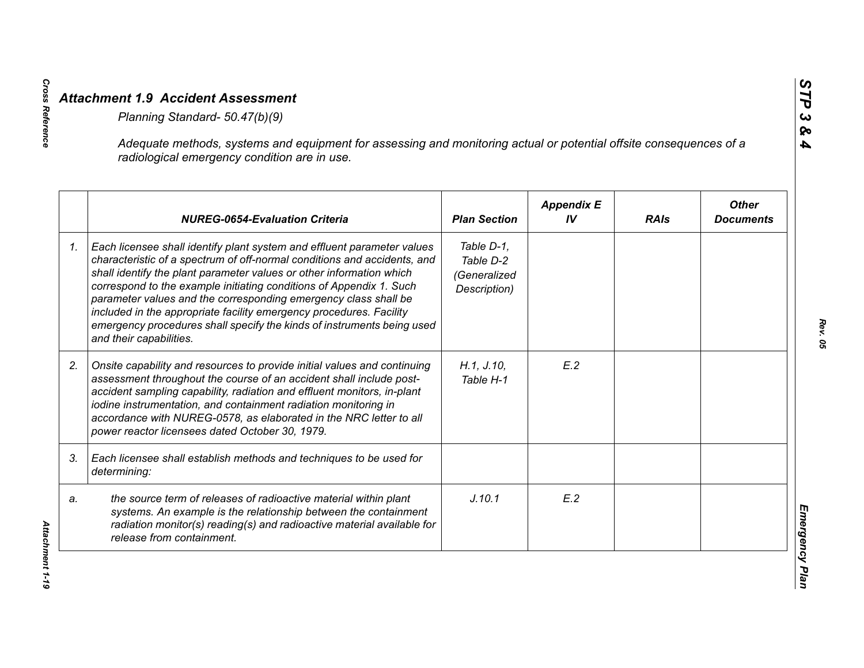|    | Adequate methods, systems and equipment for assessing and monitoring actual or potential offsite consequences of a<br>radiological emergency condition are in use.                                                                                                                                                                                                                                                                                                                                                                                |                                                         |                         |             |                                  |
|----|---------------------------------------------------------------------------------------------------------------------------------------------------------------------------------------------------------------------------------------------------------------------------------------------------------------------------------------------------------------------------------------------------------------------------------------------------------------------------------------------------------------------------------------------------|---------------------------------------------------------|-------------------------|-------------|----------------------------------|
|    | <b>NUREG-0654-Evaluation Criteria</b>                                                                                                                                                                                                                                                                                                                                                                                                                                                                                                             | <b>Plan Section</b>                                     | <b>Appendix E</b><br>IV | <b>RAIs</b> | <b>Other</b><br><b>Documents</b> |
| 1. | Each licensee shall identify plant system and effluent parameter values<br>characteristic of a spectrum of off-normal conditions and accidents, and<br>shall identify the plant parameter values or other information which<br>correspond to the example initiating conditions of Appendix 1. Such<br>parameter values and the corresponding emergency class shall be<br>included in the appropriate facility emergency procedures. Facility<br>emergency procedures shall specify the kinds of instruments being used<br>and their capabilities. | Table D-1,<br>Table D-2<br>(Generalized<br>Description) |                         |             |                                  |
| 2. | Onsite capability and resources to provide initial values and continuing<br>assessment throughout the course of an accident shall include post-<br>accident sampling capability, radiation and effluent monitors, in-plant<br>iodine instrumentation, and containment radiation monitoring in<br>accordance with NUREG-0578, as elaborated in the NRC letter to all<br>power reactor licensees dated October 30, 1979.                                                                                                                            | H.1, J.10,<br>Table H-1                                 | E.2                     |             |                                  |
| 3. | Each licensee shall establish methods and techniques to be used for<br>determining:                                                                                                                                                                                                                                                                                                                                                                                                                                                               |                                                         |                         |             |                                  |
| a. | the source term of releases of radioactive material within plant<br>systems. An example is the relationship between the containment<br>radiation monitor(s) reading(s) and radioactive material available for<br>release from containment.                                                                                                                                                                                                                                                                                                        | J.10.1                                                  | E.2                     |             |                                  |

**Cross Reference**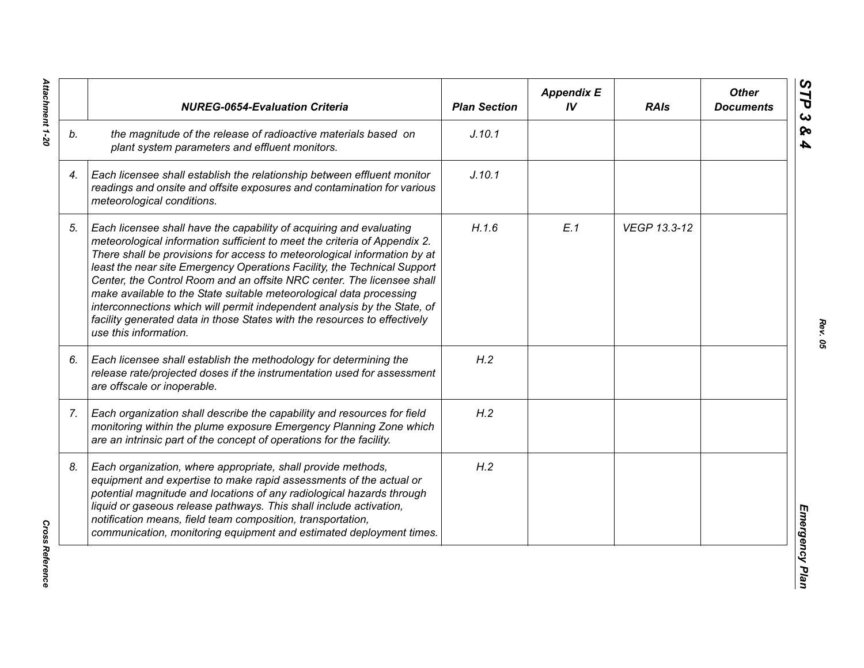|    | <b>NUREG-0654-Evaluation Criteria</b>                                                                                                                                                                                                                                                                                                                                                                                                                                                                                                                                                                                                       | <b>Plan Section</b> | <b>Appendix E</b><br>IV | <b>RAIs</b>  | <b>Other</b><br><b>Documents</b> |
|----|---------------------------------------------------------------------------------------------------------------------------------------------------------------------------------------------------------------------------------------------------------------------------------------------------------------------------------------------------------------------------------------------------------------------------------------------------------------------------------------------------------------------------------------------------------------------------------------------------------------------------------------------|---------------------|-------------------------|--------------|----------------------------------|
| b. | the magnitude of the release of radioactive materials based on<br>plant system parameters and effluent monitors.                                                                                                                                                                                                                                                                                                                                                                                                                                                                                                                            | J.10.1              |                         |              |                                  |
| 4. | Each licensee shall establish the relationship between effluent monitor<br>readings and onsite and offsite exposures and contamination for various<br>meteorological conditions.                                                                                                                                                                                                                                                                                                                                                                                                                                                            | J.10.1              |                         |              |                                  |
| 5. | Each licensee shall have the capability of acquiring and evaluating<br>meteorological information sufficient to meet the criteria of Appendix 2.<br>There shall be provisions for access to meteorological information by at<br>least the near site Emergency Operations Facility, the Technical Support<br>Center, the Control Room and an offsite NRC center. The licensee shall<br>make available to the State suitable meteorological data processing<br>interconnections which will permit independent analysis by the State, of<br>facility generated data in those States with the resources to effectively<br>use this information. | H.1.6               | E.1                     | VEGP 13.3-12 |                                  |
| 6. | Each licensee shall establish the methodology for determining the<br>release rate/projected doses if the instrumentation used for assessment<br>are offscale or inoperable.                                                                                                                                                                                                                                                                                                                                                                                                                                                                 | H.2                 |                         |              |                                  |
| 7. | Each organization shall describe the capability and resources for field<br>monitoring within the plume exposure Emergency Planning Zone which<br>are an intrinsic part of the concept of operations for the facility.                                                                                                                                                                                                                                                                                                                                                                                                                       | H.2                 |                         |              |                                  |
| 8. | Each organization, where appropriate, shall provide methods,<br>equipment and expertise to make rapid assessments of the actual or<br>potential magnitude and locations of any radiological hazards through<br>liquid or gaseous release pathways. This shall include activation,<br>notification means, field team composition, transportation,<br>communication, monitoring equipment and estimated deployment times.                                                                                                                                                                                                                     | H.2                 |                         |              |                                  |

Attachment 1-20 *Attachment 1-20*

**Cross Reference** *Cross Reference*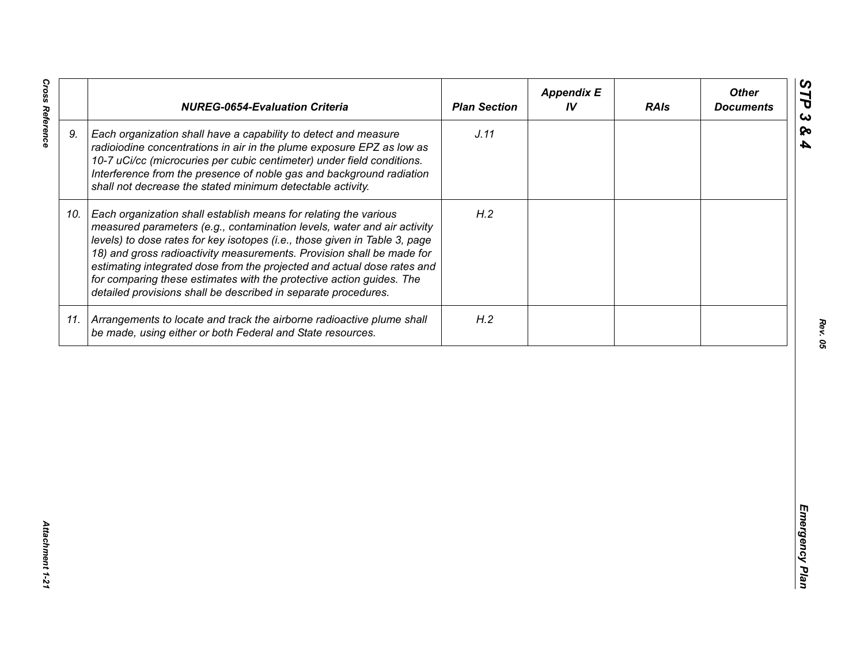| J.11<br>9.<br>Each organization shall have a capability to detect and measure<br>radioiodine concentrations in air in the plume exposure EPZ as low as<br>10-7 uCi/cc (microcuries per cubic centimeter) under field conditions.<br>Interference from the presence of noble gas and background radiation<br>shall not decrease the stated minimum detectable activity.<br>H.2<br>Each organization shall establish means for relating the various<br>10.<br>measured parameters (e.g., contamination levels, water and air activity<br>levels) to dose rates for key isotopes (i.e., those given in Table 3, page<br>18) and gross radioactivity measurements. Provision shall be made for<br>estimating integrated dose from the projected and actual dose rates and<br>for comparing these estimates with the protective action guides. The<br>detailed provisions shall be described in separate procedures. | H.2<br>11. Arrangements to locate and track the airborne radioactive plume shall<br>be made, using either or both Federal and State resources. | <b>NUREG-0654-Evaluation Criteria</b> | <b>Plan Section</b> | <b>Appendix E</b><br>IV | <b>RAIs</b> | <b>Other</b><br><b>Documents</b> |
|-----------------------------------------------------------------------------------------------------------------------------------------------------------------------------------------------------------------------------------------------------------------------------------------------------------------------------------------------------------------------------------------------------------------------------------------------------------------------------------------------------------------------------------------------------------------------------------------------------------------------------------------------------------------------------------------------------------------------------------------------------------------------------------------------------------------------------------------------------------------------------------------------------------------|------------------------------------------------------------------------------------------------------------------------------------------------|---------------------------------------|---------------------|-------------------------|-------------|----------------------------------|
|                                                                                                                                                                                                                                                                                                                                                                                                                                                                                                                                                                                                                                                                                                                                                                                                                                                                                                                 |                                                                                                                                                |                                       |                     |                         |             |                                  |
|                                                                                                                                                                                                                                                                                                                                                                                                                                                                                                                                                                                                                                                                                                                                                                                                                                                                                                                 |                                                                                                                                                |                                       |                     |                         |             |                                  |
|                                                                                                                                                                                                                                                                                                                                                                                                                                                                                                                                                                                                                                                                                                                                                                                                                                                                                                                 |                                                                                                                                                |                                       |                     |                         |             |                                  |
|                                                                                                                                                                                                                                                                                                                                                                                                                                                                                                                                                                                                                                                                                                                                                                                                                                                                                                                 |                                                                                                                                                |                                       |                     |                         |             |                                  |
|                                                                                                                                                                                                                                                                                                                                                                                                                                                                                                                                                                                                                                                                                                                                                                                                                                                                                                                 |                                                                                                                                                |                                       |                     |                         |             |                                  |

**Cross Reference**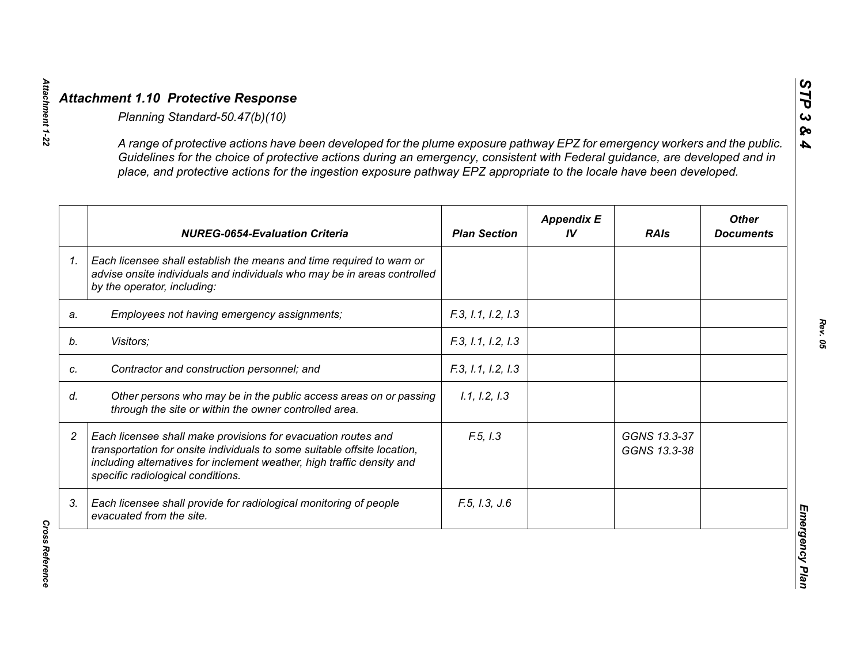|                | A range of protective actions have been developed for the plume exposure pathway EPZ for emergency workers and the public.<br>Guidelines for the choice of protective actions during an emergency, consistent with Federal guidance, are developed and in<br>place, and protective actions for the ingestion exposure pathway EPZ appropriate to the locale have been developed. |                     |                         |                              |                                  |
|----------------|----------------------------------------------------------------------------------------------------------------------------------------------------------------------------------------------------------------------------------------------------------------------------------------------------------------------------------------------------------------------------------|---------------------|-------------------------|------------------------------|----------------------------------|
|                | <b>NUREG-0654-Evaluation Criteria</b>                                                                                                                                                                                                                                                                                                                                            | <b>Plan Section</b> | <b>Appendix E</b><br>IV | <b>RAIs</b>                  | <b>Other</b><br><b>Documents</b> |
| 1 <sub>1</sub> | Each licensee shall establish the means and time required to warn or<br>advise onsite individuals and individuals who may be in areas controlled<br>by the operator, including:                                                                                                                                                                                                  |                     |                         |                              |                                  |
| a.             | Employees not having emergency assignments;                                                                                                                                                                                                                                                                                                                                      | F.3, 1.1, 1.2, 1.3  |                         |                              |                                  |
|                | Visitors;                                                                                                                                                                                                                                                                                                                                                                        | F.3, 1.1, 1.2, 1.3  |                         |                              |                                  |
|                | Contractor and construction personnel; and                                                                                                                                                                                                                                                                                                                                       | F.3, 1.1, 1.2, 1.3  |                         |                              |                                  |
|                | Other persons who may be in the public access areas on or passing<br>through the site or within the owner controlled area.                                                                                                                                                                                                                                                       | 1.1, 1.2, 1.3       |                         |                              |                                  |
|                | Each licensee shall make provisions for evacuation routes and<br>transportation for onsite individuals to some suitable offsite location,<br>including alternatives for inclement weather, high traffic density and<br>specific radiological conditions.                                                                                                                         | F.5, I.3            |                         | GGNS 13.3-37<br>GGNS 13.3-38 |                                  |
| 3.             | Each licensee shall provide for radiological monitoring of people<br>evacuated from the site.                                                                                                                                                                                                                                                                                    | F.5, I.3, J.6       |                         |                              |                                  |

*STP 3 & 4*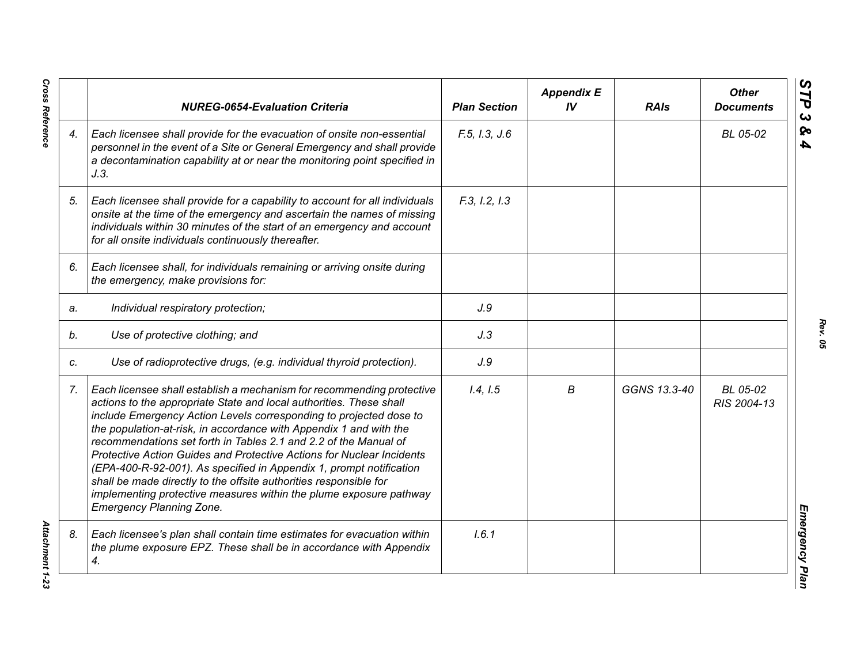|    | <b>NUREG-0654-Evaluation Criteria</b>                                                                                                                                                                                                                                                                                                                                                                                                                                                                                                                                                                                                                                                      | <b>Plan Section</b> | <b>Appendix E</b><br>IV | <b>RAIs</b>  | <b>Other</b><br><b>Documents</b> |
|----|--------------------------------------------------------------------------------------------------------------------------------------------------------------------------------------------------------------------------------------------------------------------------------------------------------------------------------------------------------------------------------------------------------------------------------------------------------------------------------------------------------------------------------------------------------------------------------------------------------------------------------------------------------------------------------------------|---------------------|-------------------------|--------------|----------------------------------|
| 4. | Each licensee shall provide for the evacuation of onsite non-essential<br>personnel in the event of a Site or General Emergency and shall provide<br>a decontamination capability at or near the monitoring point specified in<br>J.3.                                                                                                                                                                                                                                                                                                                                                                                                                                                     | F.5, I.3, J.6       |                         |              | BL 05-02                         |
| 5. | Each licensee shall provide for a capability to account for all individuals<br>onsite at the time of the emergency and ascertain the names of missing<br>individuals within 30 minutes of the start of an emergency and account<br>for all onsite individuals continuously thereafter.                                                                                                                                                                                                                                                                                                                                                                                                     | F.3, I.2, I.3       |                         |              |                                  |
| 6. | Each licensee shall, for individuals remaining or arriving onsite during<br>the emergency, make provisions for:                                                                                                                                                                                                                                                                                                                                                                                                                                                                                                                                                                            |                     |                         |              |                                  |
| a. | Individual respiratory protection;                                                                                                                                                                                                                                                                                                                                                                                                                                                                                                                                                                                                                                                         | J.9                 |                         |              |                                  |
| b. | Use of protective clothing; and                                                                                                                                                                                                                                                                                                                                                                                                                                                                                                                                                                                                                                                            | J.3                 |                         |              |                                  |
| C. | Use of radioprotective drugs, (e.g. individual thyroid protection).                                                                                                                                                                                                                                                                                                                                                                                                                                                                                                                                                                                                                        | J.9                 |                         |              |                                  |
| 7. | Each licensee shall establish a mechanism for recommending protective<br>actions to the appropriate State and local authorities. These shall<br>include Emergency Action Levels corresponding to projected dose to<br>the population-at-risk, in accordance with Appendix 1 and with the<br>recommendations set forth in Tables 2.1 and 2.2 of the Manual of<br>Protective Action Guides and Protective Actions for Nuclear Incidents<br>(EPA-400-R-92-001). As specified in Appendix 1, prompt notification<br>shall be made directly to the offsite authorities responsible for<br>implementing protective measures within the plume exposure pathway<br><b>Emergency Planning Zone.</b> | 1.4, 1.5            | В                       | GGNS 13.3-40 | BL 05-02<br>RIS 2004-13          |
| 8. | Each licensee's plan shall contain time estimates for evacuation within<br>the plume exposure EPZ. These shall be in accordance with Appendix<br>4.                                                                                                                                                                                                                                                                                                                                                                                                                                                                                                                                        | 1.6.1               |                         |              |                                  |

**Cross Reference** 

*Rev. 05*

*Cross Reference Attachment 1-23* **Attachment 1-23**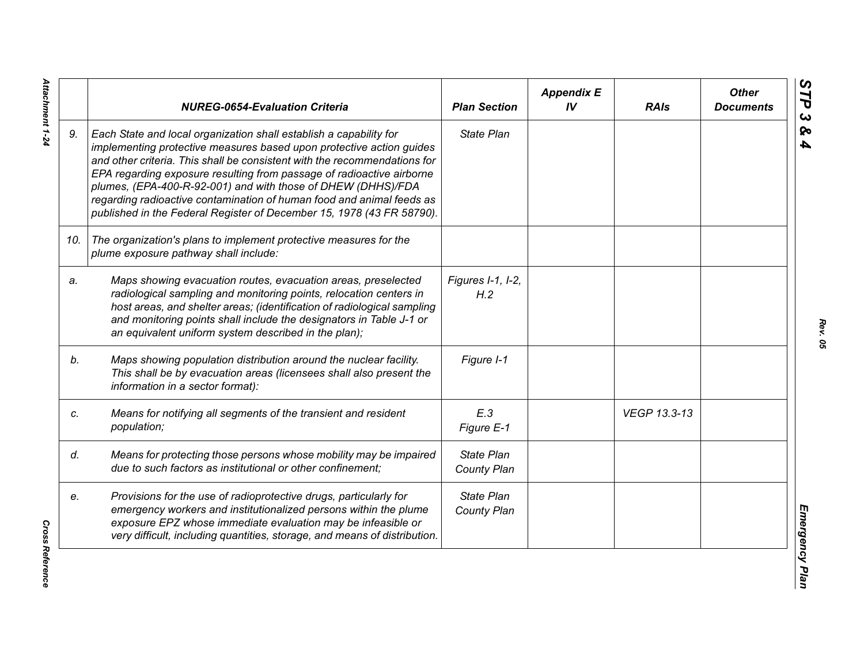|     | <b>NUREG-0654-Evaluation Criteria</b>                                                                                                                                                                                                                                                                                                                                                                                                                                                                              | <b>Plan Section</b>              | <b>Appendix E</b><br>IV | <b>RAIs</b>  | <b>Other</b><br><b>Documents</b> |
|-----|--------------------------------------------------------------------------------------------------------------------------------------------------------------------------------------------------------------------------------------------------------------------------------------------------------------------------------------------------------------------------------------------------------------------------------------------------------------------------------------------------------------------|----------------------------------|-------------------------|--------------|----------------------------------|
| 9.  | Each State and local organization shall establish a capability for<br>implementing protective measures based upon protective action guides<br>and other criteria. This shall be consistent with the recommendations for<br>EPA regarding exposure resulting from passage of radioactive airborne<br>plumes, (EPA-400-R-92-001) and with those of DHEW (DHHS)/FDA<br>regarding radioactive contamination of human food and animal feeds as<br>published in the Federal Register of December 15, 1978 (43 FR 58790). | <b>State Plan</b>                |                         |              |                                  |
| 10. | The organization's plans to implement protective measures for the<br>plume exposure pathway shall include:                                                                                                                                                                                                                                                                                                                                                                                                         |                                  |                         |              |                                  |
| a.  | Maps showing evacuation routes, evacuation areas, preselected<br>radiological sampling and monitoring points, relocation centers in<br>host areas, and shelter areas; (identification of radiological sampling<br>and monitoring points shall include the designators in Table J-1 or<br>an equivalent uniform system described in the plan);                                                                                                                                                                      | Figures I-1, I-2,<br>H.2         |                         |              |                                  |
| b.  | Maps showing population distribution around the nuclear facility.<br>This shall be by evacuation areas (licensees shall also present the<br>information in a sector format):                                                                                                                                                                                                                                                                                                                                       | Figure I-1                       |                         |              |                                  |
| C.  | Means for notifying all segments of the transient and resident<br>population;                                                                                                                                                                                                                                                                                                                                                                                                                                      | E.3<br>Figure E-1                |                         | VEGP 13.3-13 |                                  |
| d.  | Means for protecting those persons whose mobility may be impaired<br>due to such factors as institutional or other confinement;                                                                                                                                                                                                                                                                                                                                                                                    | <b>State Plan</b><br>County Plan |                         |              |                                  |
| e.  | Provisions for the use of radioprotective drugs, particularly for<br>emergency workers and institutionalized persons within the plume<br>exposure EPZ whose immediate evaluation may be infeasible or<br>very difficult, including quantities, storage, and means of distribution.                                                                                                                                                                                                                                 | <b>State Plan</b><br>County Plan |                         |              |                                  |

Attachment 1-24 *Attachment 1-24*

**Cross Reference** *Cross Reference*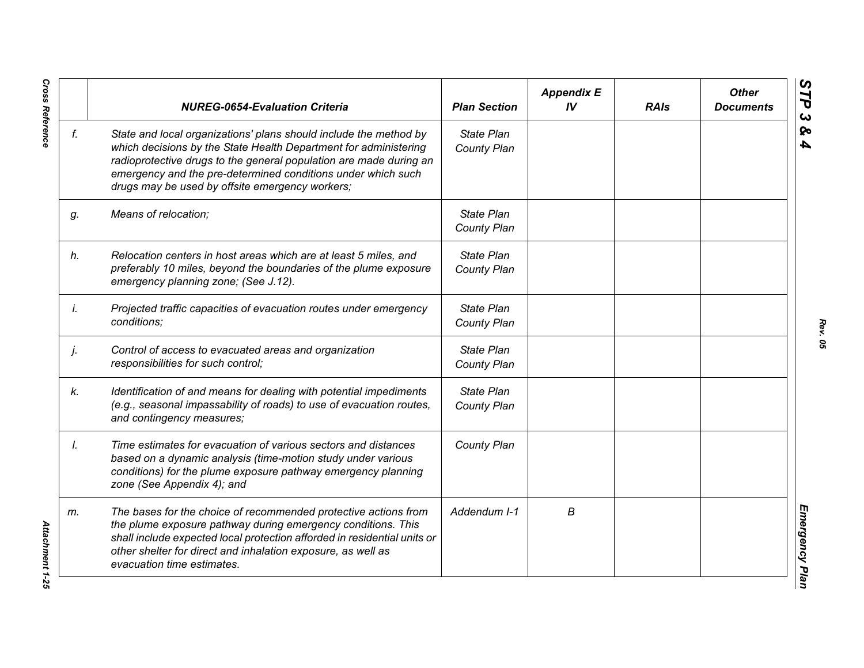|    | <b>NUREG-0654-Evaluation Criteria</b>                                                                                                                                                                                                                                                                                          | <b>Plan Section</b>              | <b>Appendix E</b><br>IV | <b>RAIs</b> | <b>Other</b><br><b>Documents</b> |
|----|--------------------------------------------------------------------------------------------------------------------------------------------------------------------------------------------------------------------------------------------------------------------------------------------------------------------------------|----------------------------------|-------------------------|-------------|----------------------------------|
| f. | State and local organizations' plans should include the method by<br>which decisions by the State Health Department for administering<br>radioprotective drugs to the general population are made during an<br>emergency and the pre-determined conditions under which such<br>drugs may be used by offsite emergency workers; | <b>State Plan</b><br>County Plan |                         |             |                                  |
| g. | Means of relocation;                                                                                                                                                                                                                                                                                                           | State Plan<br>County Plan        |                         |             |                                  |
| h. | Relocation centers in host areas which are at least 5 miles, and<br>preferably 10 miles, beyond the boundaries of the plume exposure<br>emergency planning zone; (See J.12).                                                                                                                                                   | State Plan<br>County Plan        |                         |             |                                  |
| İ. | Projected traffic capacities of evacuation routes under emergency<br>conditions;                                                                                                                                                                                                                                               | State Plan<br>County Plan        |                         |             |                                  |
| j. | Control of access to evacuated areas and organization<br>responsibilities for such control;                                                                                                                                                                                                                                    | State Plan<br>County Plan        |                         |             |                                  |
| k. | Identification of and means for dealing with potential impediments<br>(e.g., seasonal impassability of roads) to use of evacuation routes,<br>and contingency measures;                                                                                                                                                        | State Plan<br>County Plan        |                         |             |                                  |
| Ι. | Time estimates for evacuation of various sectors and distances<br>based on a dynamic analysis (time-motion study under various<br>conditions) for the plume exposure pathway emergency planning<br>zone (See Appendix 4); and                                                                                                  | County Plan                      |                         |             |                                  |
| m. | The bases for the choice of recommended protective actions from<br>the plume exposure pathway during emergency conditions. This<br>shall include expected local protection afforded in residential units or<br>other shelter for direct and inhalation exposure, as well as<br>evacuation time estimates.                      | Addendum I-1                     | В                       |             |                                  |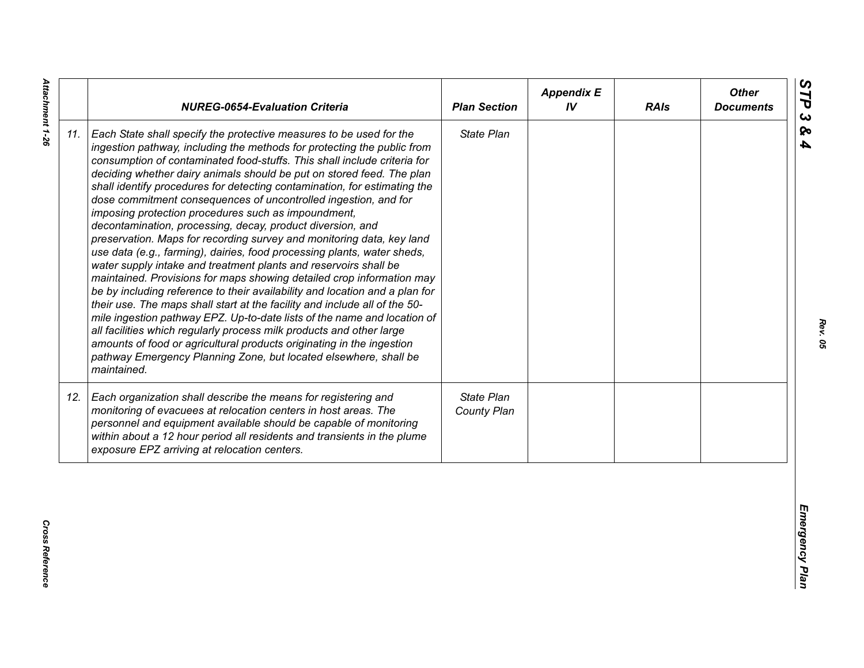| State Plan<br>Each State shall specify the protective measures to be used for the<br>ingestion pathway, including the methods for protecting the public from<br>consumption of contaminated food-stuffs. This shall include criteria for<br>deciding whether dairy animals should be put on stored feed. The plan<br>shall identify procedures for detecting contamination, for estimating the<br>dose commitment consequences of uncontrolled ingestion, and for<br>imposing protection procedures such as impoundment,<br>decontamination, processing, decay, product diversion, and<br>preservation. Maps for recording survey and monitoring data, key land<br>use data (e.g., farming), dairies, food processing plants, water sheds,<br>water supply intake and treatment plants and reservoirs shall be<br>maintained. Provisions for maps showing detailed crop information may<br>be by including reference to their availability and location and a plan for<br>their use. The maps shall start at the facility and include all of the 50-<br>mile ingestion pathway EPZ. Up-to-date lists of the name and location of<br>all facilities which regularly process milk products and other large<br>amounts of food or agricultural products originating in the ingestion<br>pathway Emergency Planning Zone, but located elsewhere, shall be<br>maintained.<br>State Plan<br>Each organization shall describe the means for registering and<br>monitoring of evacuees at relocation centers in host areas. The<br>County Plan<br>personnel and equipment available should be capable of monitoring<br>within about a 12 hour period all residents and transients in the plume<br>exposure EPZ arriving at relocation centers. |     | <b>NUREG-0654-Evaluation Criteria</b> | <b>Plan Section</b> | <b>Appendix E</b><br>IV | <b>RAIs</b> | <b>Other</b><br><b>Documents</b> |
|----------------------------------------------------------------------------------------------------------------------------------------------------------------------------------------------------------------------------------------------------------------------------------------------------------------------------------------------------------------------------------------------------------------------------------------------------------------------------------------------------------------------------------------------------------------------------------------------------------------------------------------------------------------------------------------------------------------------------------------------------------------------------------------------------------------------------------------------------------------------------------------------------------------------------------------------------------------------------------------------------------------------------------------------------------------------------------------------------------------------------------------------------------------------------------------------------------------------------------------------------------------------------------------------------------------------------------------------------------------------------------------------------------------------------------------------------------------------------------------------------------------------------------------------------------------------------------------------------------------------------------------------------------------------------------------------------------------------------------------|-----|---------------------------------------|---------------------|-------------------------|-------------|----------------------------------|
|                                                                                                                                                                                                                                                                                                                                                                                                                                                                                                                                                                                                                                                                                                                                                                                                                                                                                                                                                                                                                                                                                                                                                                                                                                                                                                                                                                                                                                                                                                                                                                                                                                                                                                                                        | 11. |                                       |                     |                         |             |                                  |
|                                                                                                                                                                                                                                                                                                                                                                                                                                                                                                                                                                                                                                                                                                                                                                                                                                                                                                                                                                                                                                                                                                                                                                                                                                                                                                                                                                                                                                                                                                                                                                                                                                                                                                                                        | 12. |                                       |                     |                         |             |                                  |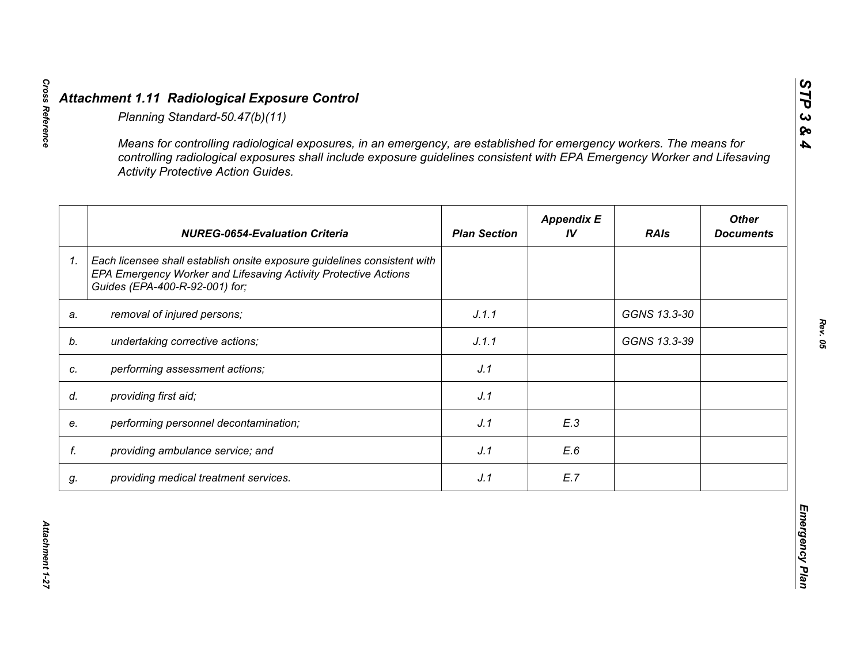|    | <b>Activity Protective Action Guides.</b>                                                                                                                                     |                     |                         |              |                                  |
|----|-------------------------------------------------------------------------------------------------------------------------------------------------------------------------------|---------------------|-------------------------|--------------|----------------------------------|
|    | <b>NUREG-0654-Evaluation Criteria</b>                                                                                                                                         | <b>Plan Section</b> | <b>Appendix E</b><br>IV | <b>RAIs</b>  | <b>Other</b><br><b>Documents</b> |
| 1. | Each licensee shall establish onsite exposure guidelines consistent with<br>EPA Emergency Worker and Lifesaving Activity Protective Actions<br>Guides (EPA-400-R-92-001) for; |                     |                         |              |                                  |
| a. | removal of injured persons;                                                                                                                                                   | J.1.1               |                         | GGNS 13.3-30 |                                  |
|    | undertaking corrective actions;                                                                                                                                               | J.1.1               |                         | GGNS 13.3-39 |                                  |
| C. | performing assessment actions;                                                                                                                                                | J.1                 |                         |              |                                  |
| d. | providing first aid;                                                                                                                                                          | J.1                 |                         |              |                                  |
| е. | performing personnel decontamination;                                                                                                                                         | J.1                 | E.3                     |              |                                  |
| f. | providing ambulance service; and                                                                                                                                              | J.1                 | E.6                     |              |                                  |
| g. | providing medical treatment services.                                                                                                                                         | J.1                 | E.7                     |              |                                  |

*STP 3 & 4*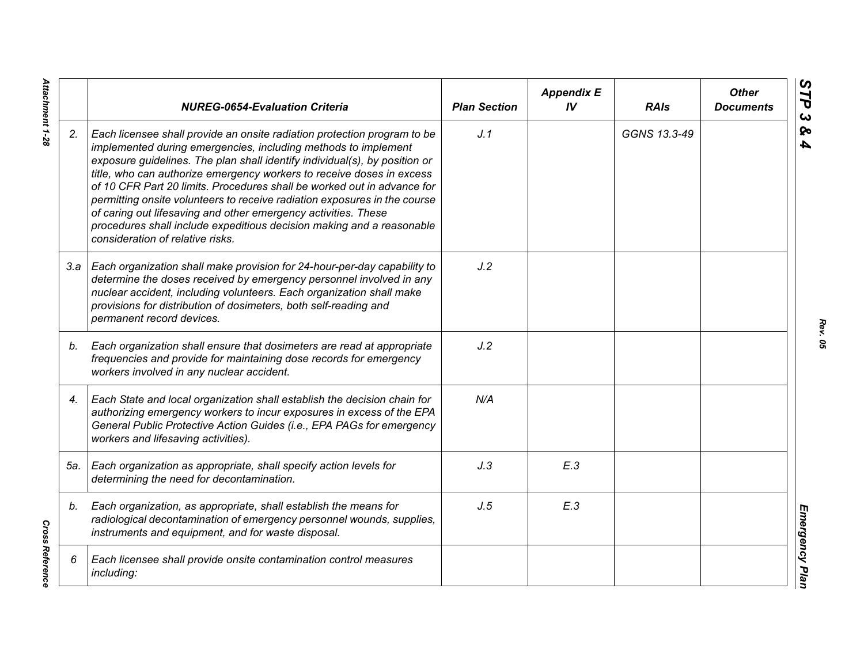|     | <b>NUREG-0654-Evaluation Criteria</b>                                                                                                                                                                                                                                                                                                                                                                                                                                                                                                                                                                                                    | <b>Plan Section</b> | <b>Appendix E</b><br>IV | <b>RAIs</b>  | <b>Other</b><br><b>Documents</b> |
|-----|------------------------------------------------------------------------------------------------------------------------------------------------------------------------------------------------------------------------------------------------------------------------------------------------------------------------------------------------------------------------------------------------------------------------------------------------------------------------------------------------------------------------------------------------------------------------------------------------------------------------------------------|---------------------|-------------------------|--------------|----------------------------------|
| 2.  | Each licensee shall provide an onsite radiation protection program to be<br>implemented during emergencies, including methods to implement<br>exposure guidelines. The plan shall identify individual(s), by position or<br>title, who can authorize emergency workers to receive doses in excess<br>of 10 CFR Part 20 limits. Procedures shall be worked out in advance for<br>permitting onsite volunteers to receive radiation exposures in the course<br>of caring out lifesaving and other emergency activities. These<br>procedures shall include expeditious decision making and a reasonable<br>consideration of relative risks. | J.1                 |                         | GGNS 13.3-49 |                                  |
|     | 3.a   Each organization shall make provision for 24-hour-per-day capability to<br>determine the doses received by emergency personnel involved in any<br>nuclear accident, including volunteers. Each organization shall make<br>provisions for distribution of dosimeters, both self-reading and<br>permanent record devices.                                                                                                                                                                                                                                                                                                           | J.2                 |                         |              |                                  |
| b.  | Each organization shall ensure that dosimeters are read at appropriate<br>frequencies and provide for maintaining dose records for emergency<br>workers involved in any nuclear accident.                                                                                                                                                                                                                                                                                                                                                                                                                                                | J.2                 |                         |              |                                  |
| 4.  | Each State and local organization shall establish the decision chain for<br>authorizing emergency workers to incur exposures in excess of the EPA<br>General Public Protective Action Guides (i.e., EPA PAGs for emergency<br>workers and lifesaving activities).                                                                                                                                                                                                                                                                                                                                                                        | N/A                 |                         |              |                                  |
| 5а. | Each organization as appropriate, shall specify action levels for<br>determining the need for decontamination.                                                                                                                                                                                                                                                                                                                                                                                                                                                                                                                           | J.3                 | E.3                     |              |                                  |
| b.  | Each organization, as appropriate, shall establish the means for<br>radiological decontamination of emergency personnel wounds, supplies,<br>instruments and equipment, and for waste disposal.                                                                                                                                                                                                                                                                                                                                                                                                                                          | J.5                 | E.3                     |              |                                  |
| 6   | Each licensee shall provide onsite contamination control measures<br>including:                                                                                                                                                                                                                                                                                                                                                                                                                                                                                                                                                          |                     |                         |              |                                  |

*Rev. 05*

Attachment 1-28 *Attachment 1-28*

**Cross Reference** *Cross Reference*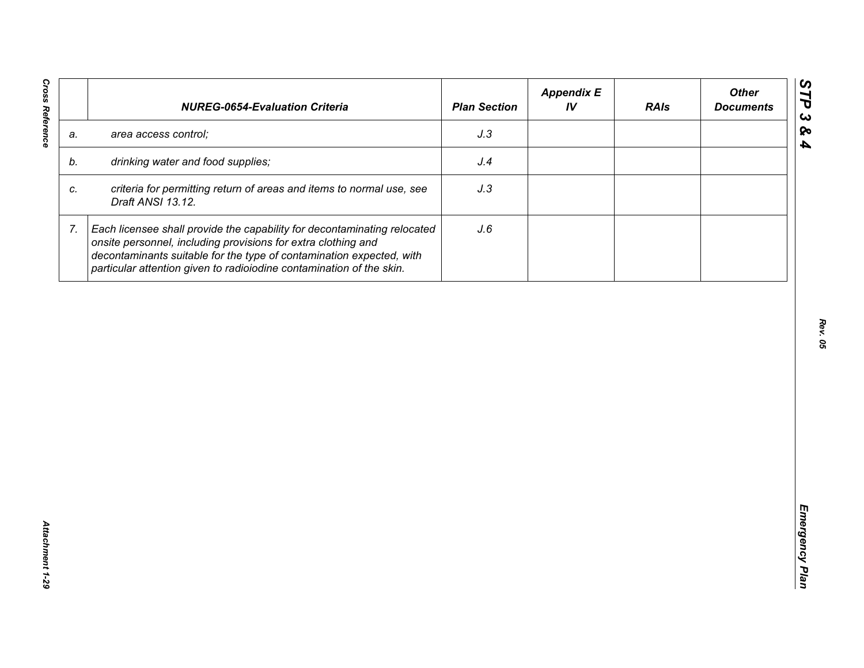| J.3<br>area access control;<br>a.<br>drinking water and food supplies;<br>J.4<br>b.<br>criteria for permitting return of areas and items to normal use, see<br>J.3<br>C.<br>Draft ANSI 13.12.<br>7.<br>Each licensee shall provide the capability for decontaminating relocated<br>J.6<br>onsite personnel, including provisions for extra clothing and<br>decontaminants suitable for the type of contamination expected, with | <b>NUREG-0654-Evaluation Criteria</b>                                | <b>Plan Section</b> | <b>Appendix E</b><br>IV | <b>RAIs</b> | <b>Other</b><br><b>Documents</b> |
|---------------------------------------------------------------------------------------------------------------------------------------------------------------------------------------------------------------------------------------------------------------------------------------------------------------------------------------------------------------------------------------------------------------------------------|----------------------------------------------------------------------|---------------------|-------------------------|-------------|----------------------------------|
|                                                                                                                                                                                                                                                                                                                                                                                                                                 |                                                                      |                     |                         |             |                                  |
|                                                                                                                                                                                                                                                                                                                                                                                                                                 |                                                                      |                     |                         |             |                                  |
|                                                                                                                                                                                                                                                                                                                                                                                                                                 |                                                                      |                     |                         |             |                                  |
|                                                                                                                                                                                                                                                                                                                                                                                                                                 | particular attention given to radioiodine contamination of the skin. |                     |                         |             |                                  |
|                                                                                                                                                                                                                                                                                                                                                                                                                                 |                                                                      |                     |                         |             |                                  |
|                                                                                                                                                                                                                                                                                                                                                                                                                                 |                                                                      |                     |                         |             |                                  |
|                                                                                                                                                                                                                                                                                                                                                                                                                                 |                                                                      |                     |                         |             |                                  |
|                                                                                                                                                                                                                                                                                                                                                                                                                                 |                                                                      |                     |                         |             |                                  |
|                                                                                                                                                                                                                                                                                                                                                                                                                                 |                                                                      |                     |                         |             |                                  |
|                                                                                                                                                                                                                                                                                                                                                                                                                                 |                                                                      |                     |                         |             |                                  |
|                                                                                                                                                                                                                                                                                                                                                                                                                                 |                                                                      |                     |                         |             |                                  |
|                                                                                                                                                                                                                                                                                                                                                                                                                                 |                                                                      |                     |                         |             |                                  |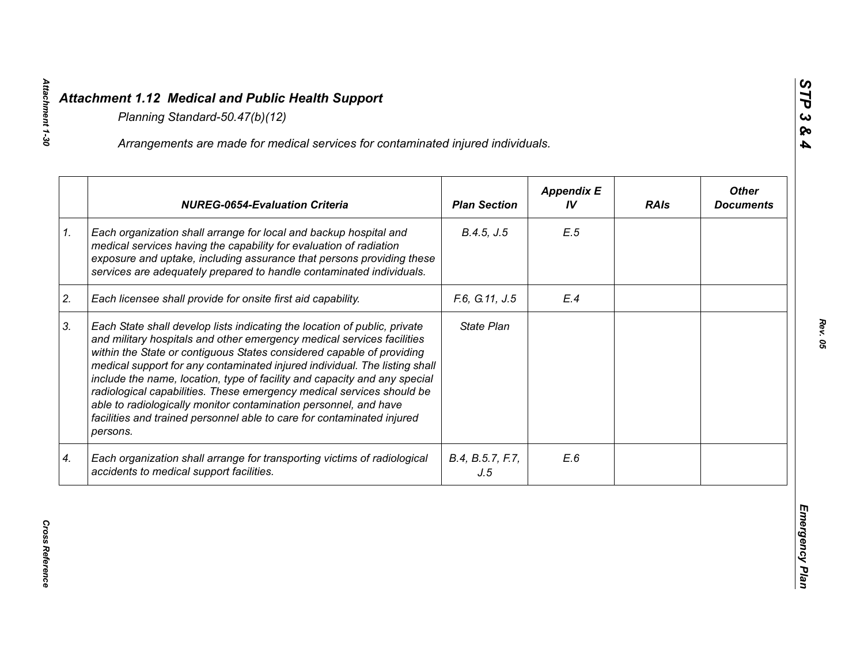|    | Arrangements are made for medical services for contaminated injured individuals.                                                                                                                                                                                                                                                                                                                                                                                                                                                                                                                                           |                         |                         |             |                                  |
|----|----------------------------------------------------------------------------------------------------------------------------------------------------------------------------------------------------------------------------------------------------------------------------------------------------------------------------------------------------------------------------------------------------------------------------------------------------------------------------------------------------------------------------------------------------------------------------------------------------------------------------|-------------------------|-------------------------|-------------|----------------------------------|
|    | <b>NUREG-0654-Evaluation Criteria</b>                                                                                                                                                                                                                                                                                                                                                                                                                                                                                                                                                                                      | <b>Plan Section</b>     | <b>Appendix E</b><br>IV | <b>RAIs</b> | <b>Other</b><br><b>Documents</b> |
| 1. | Each organization shall arrange for local and backup hospital and<br>medical services having the capability for evaluation of radiation<br>exposure and uptake, including assurance that persons providing these<br>services are adequately prepared to handle contaminated individuals.                                                                                                                                                                                                                                                                                                                                   | B.4.5, J.5              | E.5                     |             |                                  |
| 2. | Each licensee shall provide for onsite first aid capability.                                                                                                                                                                                                                                                                                                                                                                                                                                                                                                                                                               | F.6, G.11, J.5          | E.4                     |             |                                  |
| 3. | Each State shall develop lists indicating the location of public, private<br>and military hospitals and other emergency medical services facilities<br>within the State or contiguous States considered capable of providing<br>medical support for any contaminated injured individual. The listing shall<br>include the name, location, type of facility and capacity and any special<br>radiological capabilities. These emergency medical services should be<br>able to radiologically monitor contamination personnel, and have<br>facilities and trained personnel able to care for contaminated injured<br>persons. | State Plan              |                         |             |                                  |
| 4. | Each organization shall arrange for transporting victims of radiological<br>accidents to medical support facilities.                                                                                                                                                                                                                                                                                                                                                                                                                                                                                                       | B.4, B.5.7, F.7,<br>J.5 | E.6                     |             |                                  |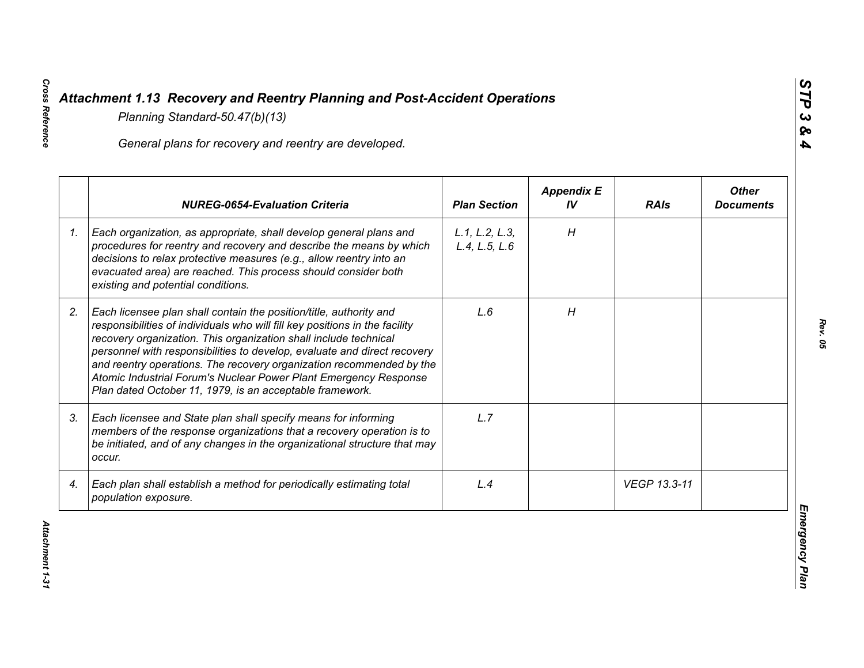|    | General plans for recovery and reentry are developed.                                                                                                                                                                                                                                                                                                                                                                                                                                                     |                                 |                         |              |                                  |
|----|-----------------------------------------------------------------------------------------------------------------------------------------------------------------------------------------------------------------------------------------------------------------------------------------------------------------------------------------------------------------------------------------------------------------------------------------------------------------------------------------------------------|---------------------------------|-------------------------|--------------|----------------------------------|
|    | <b>NUREG-0654-Evaluation Criteria</b>                                                                                                                                                                                                                                                                                                                                                                                                                                                                     | <b>Plan Section</b>             | <b>Appendix E</b><br>IV | <b>RAIs</b>  | <b>Other</b><br><b>Documents</b> |
| 1. | Each organization, as appropriate, shall develop general plans and<br>procedures for reentry and recovery and describe the means by which<br>decisions to relax protective measures (e.g., allow reentry into an<br>evacuated area) are reached. This process should consider both<br>existing and potential conditions.                                                                                                                                                                                  | L.1, L.2, L.3,<br>L.4, L.5, L.6 | H                       |              |                                  |
| 2. | Each licensee plan shall contain the position/title, authority and<br>responsibilities of individuals who will fill key positions in the facility<br>recovery organization. This organization shall include technical<br>personnel with responsibilities to develop, evaluate and direct recovery<br>and reentry operations. The recovery organization recommended by the<br>Atomic Industrial Forum's Nuclear Power Plant Emergency Response<br>Plan dated October 11, 1979, is an acceptable framework. | L.6                             | H                       |              |                                  |
| 3. | Each licensee and State plan shall specify means for informing<br>members of the response organizations that a recovery operation is to<br>be initiated, and of any changes in the organizational structure that may<br>occur.                                                                                                                                                                                                                                                                            | L.7                             |                         |              |                                  |
| 4. | Each plan shall establish a method for periodically estimating total<br>population exposure.                                                                                                                                                                                                                                                                                                                                                                                                              | L.4                             |                         | VEGP 13.3-11 |                                  |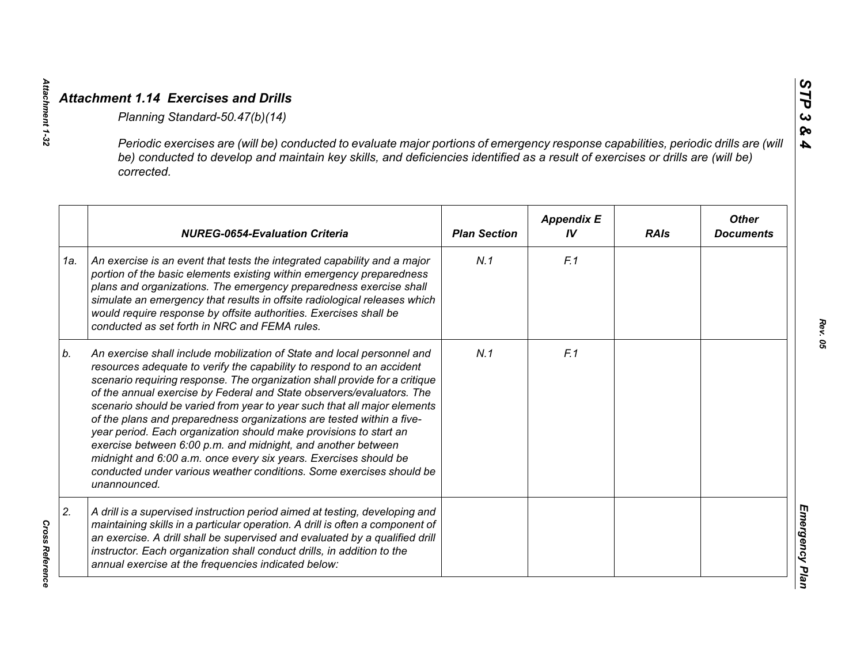Attachment 1-32

*Cross Reference* 

**Cross Reference** 

|     | Periodic exercises are (will be) conducted to evaluate major portions of emergency response capabilities, periodic drills are (will<br>be) conducted to develop and maintain key skills, and deficiencies identified as a result of exercises or drills are (will be)<br>corrected.                                                                                                                                                                                                                                                                                                                                                                                                                                                                           |                     |                         |             |                                  |
|-----|---------------------------------------------------------------------------------------------------------------------------------------------------------------------------------------------------------------------------------------------------------------------------------------------------------------------------------------------------------------------------------------------------------------------------------------------------------------------------------------------------------------------------------------------------------------------------------------------------------------------------------------------------------------------------------------------------------------------------------------------------------------|---------------------|-------------------------|-------------|----------------------------------|
|     | <b>NUREG-0654-Evaluation Criteria</b>                                                                                                                                                                                                                                                                                                                                                                                                                                                                                                                                                                                                                                                                                                                         | <b>Plan Section</b> | <b>Appendix E</b><br>IV | <b>RAIs</b> | <b>Other</b><br><b>Documents</b> |
| 1a. | An exercise is an event that tests the integrated capability and a major<br>portion of the basic elements existing within emergency preparedness<br>plans and organizations. The emergency preparedness exercise shall<br>simulate an emergency that results in offsite radiological releases which<br>would require response by offsite authorities. Exercises shall be<br>conducted as set forth in NRC and FEMA rules.                                                                                                                                                                                                                                                                                                                                     | N.1                 | F.1                     |             |                                  |
| b.  | An exercise shall include mobilization of State and local personnel and<br>resources adequate to verify the capability to respond to an accident<br>scenario requiring response. The organization shall provide for a critique<br>of the annual exercise by Federal and State observers/evaluators. The<br>scenario should be varied from year to year such that all major elements<br>of the plans and preparedness organizations are tested within a five-<br>year period. Each organization should make provisions to start an<br>exercise between 6:00 p.m. and midnight, and another between<br>midnight and 6:00 a.m. once every six years. Exercises should be<br>conducted under various weather conditions. Some exercises should be<br>unannounced. | N.1                 | F.1                     |             |                                  |
| 2.  | A drill is a supervised instruction period aimed at testing, developing and<br>maintaining skills in a particular operation. A drill is often a component of<br>an exercise. A drill shall be supervised and evaluated by a qualified drill<br>instructor. Each organization shall conduct drills, in addition to the<br>annual exercise at the frequencies indicated below:                                                                                                                                                                                                                                                                                                                                                                                  |                     |                         |             |                                  |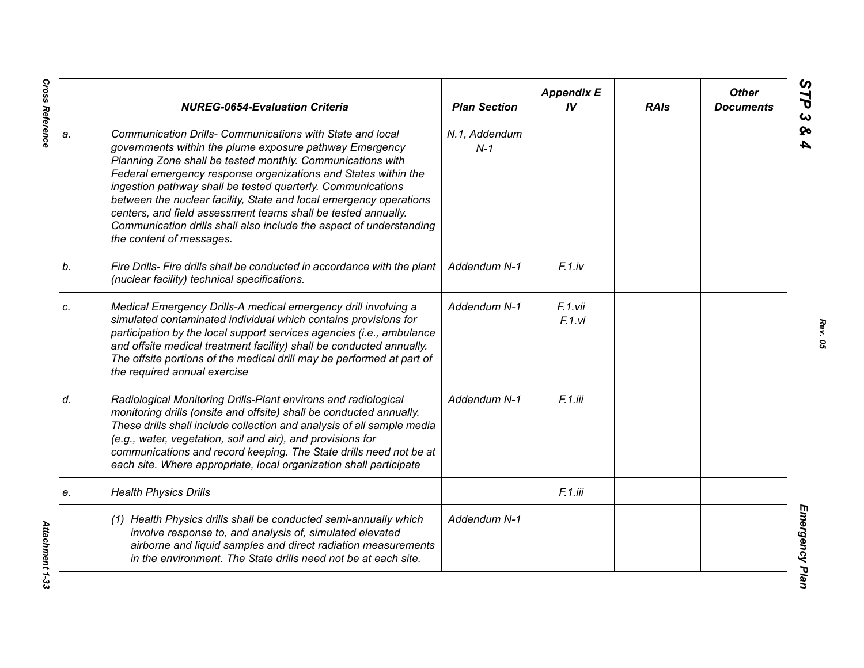|    | <b>NUREG-0654-Evaluation Criteria</b>                                                                                                                                                                                                                                                                                                                                                                                                                                                                                                                         | <b>Plan Section</b>    | <b>Appendix E</b><br>IV | <b>RAIs</b> | <b>Other</b><br><b>Documents</b> |
|----|---------------------------------------------------------------------------------------------------------------------------------------------------------------------------------------------------------------------------------------------------------------------------------------------------------------------------------------------------------------------------------------------------------------------------------------------------------------------------------------------------------------------------------------------------------------|------------------------|-------------------------|-------------|----------------------------------|
| a. | Communication Drills- Communications with State and local<br>governments within the plume exposure pathway Emergency<br>Planning Zone shall be tested monthly. Communications with<br>Federal emergency response organizations and States within the<br>ingestion pathway shall be tested quarterly. Communications<br>between the nuclear facility, State and local emergency operations<br>centers, and field assessment teams shall be tested annually.<br>Communication drills shall also include the aspect of understanding<br>the content of messages. | N.1, Addendum<br>$N-1$ |                         |             |                                  |
| b. | Fire Drills- Fire drills shall be conducted in accordance with the plant<br>(nuclear facility) technical specifications.                                                                                                                                                                                                                                                                                                                                                                                                                                      | Addendum N-1           | $F.1$ .iv               |             |                                  |
| C. | Medical Emergency Drills-A medical emergency drill involving a<br>simulated contaminated individual which contains provisions for<br>participation by the local support services agencies (i.e., ambulance<br>and offsite medical treatment facility) shall be conducted annually.<br>The offsite portions of the medical drill may be performed at part of<br>the required annual exercise                                                                                                                                                                   | Addendum N-1           | F.1.vii<br>F.1.vi       |             |                                  |
| d. | Radiological Monitoring Drills-Plant environs and radiological<br>monitoring drills (onsite and offsite) shall be conducted annually.<br>These drills shall include collection and analysis of all sample media<br>(e.g., water, vegetation, soil and air), and provisions for<br>communications and record keeping. The State drills need not be at<br>each site. Where appropriate, local organization shall participate                                                                                                                                    | Addendum N-1           | F.1.iii                 |             |                                  |
| e. | <b>Health Physics Drills</b>                                                                                                                                                                                                                                                                                                                                                                                                                                                                                                                                  |                        | F.1.iii                 |             |                                  |
|    | (1) Health Physics drills shall be conducted semi-annually which<br>involve response to, and analysis of, simulated elevated<br>airborne and liquid samples and direct radiation measurements<br>in the environment. The State drills need not be at each site.                                                                                                                                                                                                                                                                                               | Addendum N-1           |                         |             |                                  |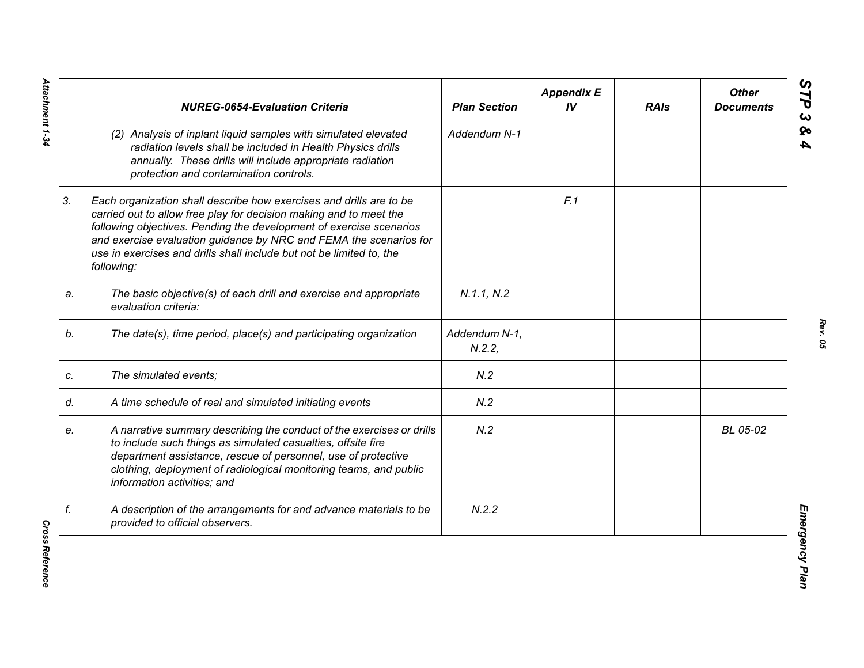|    | <b>NUREG-0654-Evaluation Criteria</b>                                                                                                                                                                                                                                                                                                                                        | <b>Plan Section</b>    | <b>Appendix E</b><br>IV | <b>RAIs</b> | <b>Other</b><br><b>Documents</b> |
|----|------------------------------------------------------------------------------------------------------------------------------------------------------------------------------------------------------------------------------------------------------------------------------------------------------------------------------------------------------------------------------|------------------------|-------------------------|-------------|----------------------------------|
|    | (2) Analysis of inplant liquid samples with simulated elevated<br>radiation levels shall be included in Health Physics drills<br>annually. These drills will include appropriate radiation<br>protection and contamination controls.                                                                                                                                         | Addendum N-1           |                         |             |                                  |
| 3. | Each organization shall describe how exercises and drills are to be<br>carried out to allow free play for decision making and to meet the<br>following objectives. Pending the development of exercise scenarios<br>and exercise evaluation guidance by NRC and FEMA the scenarios for<br>use in exercises and drills shall include but not be limited to, the<br>following: |                        | F.1                     |             |                                  |
| a. | The basic objective(s) of each drill and exercise and appropriate<br>evaluation criteria:                                                                                                                                                                                                                                                                                    | N.1.1, N.2             |                         |             |                                  |
| b. | The date(s), time period, place(s) and participating organization                                                                                                                                                                                                                                                                                                            | Addendum N-1,<br>N.2.2 |                         |             |                                  |
| C. | The simulated events;                                                                                                                                                                                                                                                                                                                                                        | N.2                    |                         |             |                                  |
| d. | A time schedule of real and simulated initiating events                                                                                                                                                                                                                                                                                                                      | N.2                    |                         |             |                                  |
| e. | A narrative summary describing the conduct of the exercises or drills<br>to include such things as simulated casualties, offsite fire<br>department assistance, rescue of personnel, use of protective<br>clothing, deployment of radiological monitoring teams, and public<br>information activities; and                                                                   | N.2                    |                         |             | BL 05-02                         |
| f. | A description of the arrangements for and advance materials to be<br>provided to official observers.                                                                                                                                                                                                                                                                         | N.2.2                  |                         |             |                                  |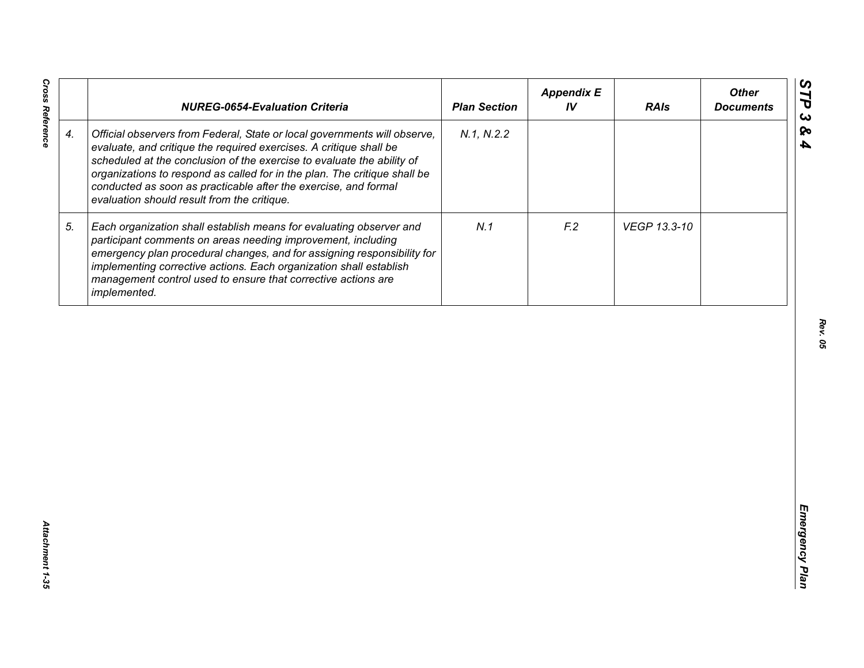|                    | <b>NUREG-0654-Evaluation Criteria</b>                                                                                                                                                                                                                                                                                                                                                                                    | <b>Plan Section</b> | <b>Appendix E</b><br>IV | <b>RAIs</b>  | <b>Other</b><br><b>Documents</b> |
|--------------------|--------------------------------------------------------------------------------------------------------------------------------------------------------------------------------------------------------------------------------------------------------------------------------------------------------------------------------------------------------------------------------------------------------------------------|---------------------|-------------------------|--------------|----------------------------------|
| $\boldsymbol{4}$ . | Official observers from Federal, State or local governments will observe,<br>evaluate, and critique the required exercises. A critique shall be<br>scheduled at the conclusion of the exercise to evaluate the ability of<br>organizations to respond as called for in the plan. The critique shall be<br>conducted as soon as practicable after the exercise, and formal<br>evaluation should result from the critique. | N.1, N.2.2          |                         |              |                                  |
| 5.                 | Each organization shall establish means for evaluating observer and<br>participant comments on areas needing improvement, including<br>emergency plan procedural changes, and for assigning responsibility for<br>implementing corrective actions. Each organization shall establish<br>management control used to ensure that corrective actions are<br>implemented.                                                    | N.1                 | F <sub>12</sub>         | VEGP 13.3-10 |                                  |
|                    |                                                                                                                                                                                                                                                                                                                                                                                                                          |                     |                         |              |                                  |
|                    |                                                                                                                                                                                                                                                                                                                                                                                                                          |                     |                         |              |                                  |
|                    |                                                                                                                                                                                                                                                                                                                                                                                                                          |                     |                         |              |                                  |
|                    |                                                                                                                                                                                                                                                                                                                                                                                                                          |                     |                         |              |                                  |
|                    |                                                                                                                                                                                                                                                                                                                                                                                                                          |                     |                         |              |                                  |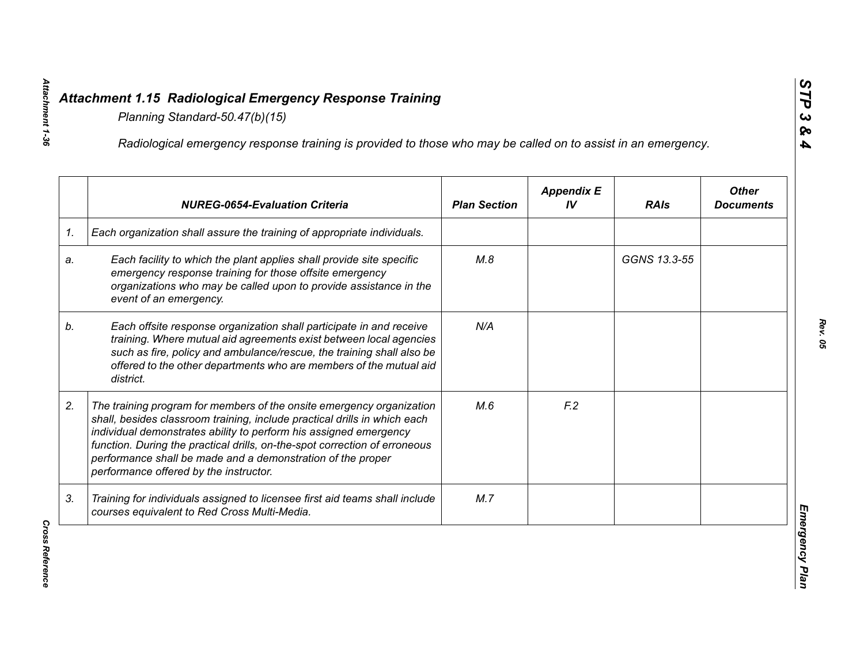|    | Radiological emergency response training is provided to those who may be called on to assist in an emergency.                                                                                                                                                                                                                                                                                                  |                     |                         |              |                                  |
|----|----------------------------------------------------------------------------------------------------------------------------------------------------------------------------------------------------------------------------------------------------------------------------------------------------------------------------------------------------------------------------------------------------------------|---------------------|-------------------------|--------------|----------------------------------|
|    | <b>NUREG-0654-Evaluation Criteria</b>                                                                                                                                                                                                                                                                                                                                                                          | <b>Plan Section</b> | <b>Appendix E</b><br>IV | <b>RAIs</b>  | <b>Other</b><br><b>Documents</b> |
| 1. | Each organization shall assure the training of appropriate individuals.                                                                                                                                                                                                                                                                                                                                        |                     |                         |              |                                  |
| a. | Each facility to which the plant applies shall provide site specific<br>emergency response training for those offsite emergency<br>organizations who may be called upon to provide assistance in the<br>event of an emergency.                                                                                                                                                                                 | M.8                 |                         | GGNS 13.3-55 |                                  |
| b. | Each offsite response organization shall participate in and receive<br>training. Where mutual aid agreements exist between local agencies<br>such as fire, policy and ambulance/rescue, the training shall also be<br>offered to the other departments who are members of the mutual aid<br>district.                                                                                                          | N/A                 |                         |              |                                  |
| 2. | The training program for members of the onsite emergency organization<br>shall, besides classroom training, include practical drills in which each<br>individual demonstrates ability to perform his assigned emergency<br>function. During the practical drills, on-the-spot correction of erroneous<br>performance shall be made and a demonstration of the proper<br>performance offered by the instructor. | M.6                 | F <sub>12</sub>         |              |                                  |
| 3. | Training for individuals assigned to licensee first aid teams shall include<br>courses equivalent to Red Cross Multi-Media.                                                                                                                                                                                                                                                                                    | M.7                 |                         |              |                                  |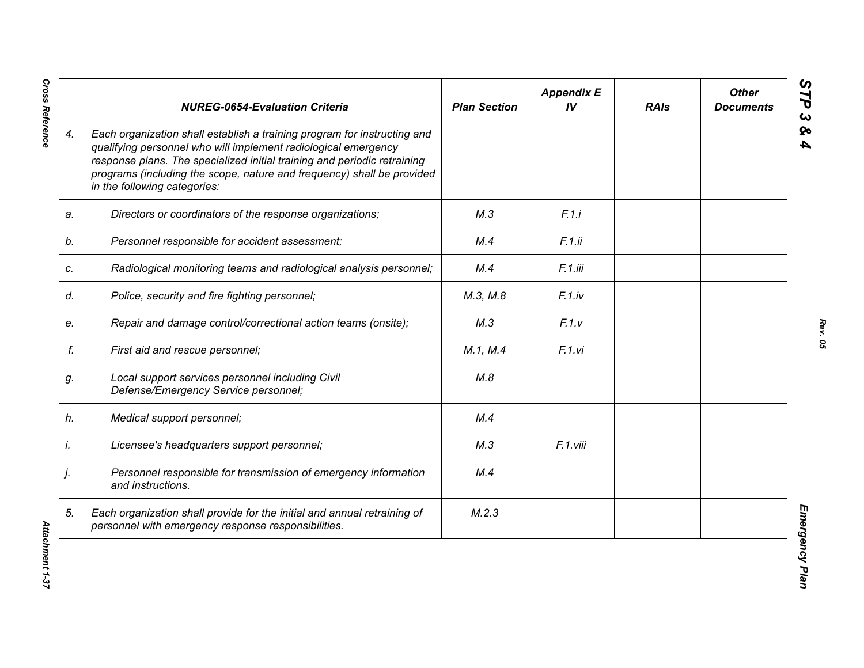|    | <b>NUREG-0654-Evaluation Criteria</b>                                                                                                                                                                                                                                                                                            | <b>Plan Section</b> | <b>Appendix E</b><br>IV | <b>RAIs</b> | <b>Other</b><br><b>Documents</b> |
|----|----------------------------------------------------------------------------------------------------------------------------------------------------------------------------------------------------------------------------------------------------------------------------------------------------------------------------------|---------------------|-------------------------|-------------|----------------------------------|
| 4. | Each organization shall establish a training program for instructing and<br>qualifying personnel who will implement radiological emergency<br>response plans. The specialized initial training and periodic retraining<br>programs (including the scope, nature and frequency) shall be provided<br>in the following categories: |                     |                         |             |                                  |
| a. | Directors or coordinators of the response organizations;                                                                                                                                                                                                                                                                         | M.3                 | F.1.i                   |             |                                  |
| b. | Personnel responsible for accident assessment;                                                                                                                                                                                                                                                                                   | M.4                 | F.1.ii                  |             |                                  |
| c. | Radiological monitoring teams and radiological analysis personnel;                                                                                                                                                                                                                                                               | M.4                 | F.1.iii                 |             |                                  |
| d. | Police, security and fire fighting personnel;                                                                                                                                                                                                                                                                                    | M.3, M.8            | F.1(iv                  |             |                                  |
| e. | Repair and damage control/correctional action teams (onsite);                                                                                                                                                                                                                                                                    | M.3                 | F.1.v                   |             |                                  |
| f. | First aid and rescue personnel;                                                                                                                                                                                                                                                                                                  | M.1, M.4            | F.1.vi                  |             |                                  |
| g. | Local support services personnel including Civil<br>Defense/Emergency Service personnel;                                                                                                                                                                                                                                         | M.8                 |                         |             |                                  |
| h. | Medical support personnel;                                                                                                                                                                                                                                                                                                       | M.4                 |                         |             |                                  |
| i. | Licensee's headquarters support personnel;                                                                                                                                                                                                                                                                                       | M.3                 | F.1.viii                |             |                                  |
| j. | Personnel responsible for transmission of emergency information<br>and instructions.                                                                                                                                                                                                                                             | M.4                 |                         |             |                                  |
| 5. | Each organization shall provide for the initial and annual retraining of<br>personnel with emergency response responsibilities.                                                                                                                                                                                                  | M.2.3               |                         |             |                                  |

**Cross Reference**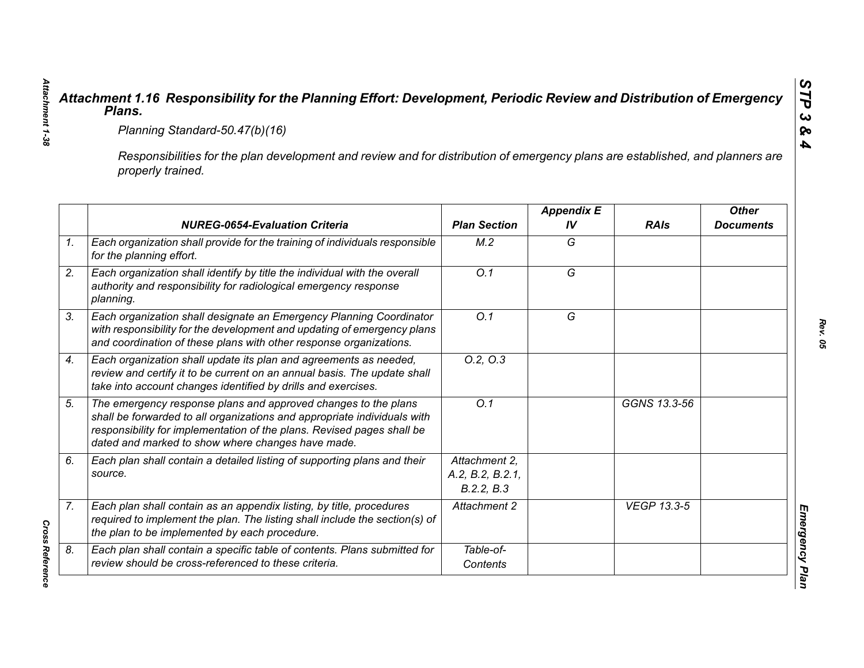|                                                                                                                                                     | Planning Standard-50.47(b)(16)                                                                                                                                                                                                                                            |                                                 |                         |                    |                                  |  |  |
|-----------------------------------------------------------------------------------------------------------------------------------------------------|---------------------------------------------------------------------------------------------------------------------------------------------------------------------------------------------------------------------------------------------------------------------------|-------------------------------------------------|-------------------------|--------------------|----------------------------------|--|--|
| Responsibilities for the plan development and review and for distribution of emergency plans are established, and planners are<br>properly trained. |                                                                                                                                                                                                                                                                           |                                                 |                         |                    |                                  |  |  |
|                                                                                                                                                     | <b>NUREG-0654-Evaluation Criteria</b>                                                                                                                                                                                                                                     | <b>Plan Section</b>                             | <b>Appendix E</b><br>IV | <b>RAIs</b>        | <b>Other</b><br><b>Documents</b> |  |  |
|                                                                                                                                                     | Each organization shall provide for the training of individuals responsible<br>for the planning effort.                                                                                                                                                                   | M.2                                             | G                       |                    |                                  |  |  |
|                                                                                                                                                     | Each organization shall identify by title the individual with the overall<br>authority and responsibility for radiological emergency response<br>planning.                                                                                                                | $\overline{O.1}$                                | $\overline{G}$          |                    |                                  |  |  |
|                                                                                                                                                     | Each organization shall designate an Emergency Planning Coordinator<br>with responsibility for the development and updating of emergency plans<br>and coordination of these plans with other response organizations.                                                      | O.1                                             | G                       |                    |                                  |  |  |
|                                                                                                                                                     | Each organization shall update its plan and agreements as needed,<br>review and certify it to be current on an annual basis. The update shall<br>take into account changes identified by drills and exercises.                                                            | 0.2, 0.3                                        |                         |                    |                                  |  |  |
|                                                                                                                                                     | The emergency response plans and approved changes to the plans<br>shall be forwarded to all organizations and appropriate individuals with<br>responsibility for implementation of the plans. Revised pages shall be<br>dated and marked to show where changes have made. | Q.1                                             |                         | GGNS 13.3-56       |                                  |  |  |
| source.                                                                                                                                             | Each plan shall contain a detailed listing of supporting plans and their                                                                                                                                                                                                  | Attachment 2.<br>A.2, B.2, B.2.1,<br>B.2.2, B.3 |                         |                    |                                  |  |  |
|                                                                                                                                                     | Each plan shall contain as an appendix listing, by title, procedures<br>required to implement the plan. The listing shall include the section(s) of<br>the plan to be implemented by each procedure.                                                                      | Attachment 2                                    |                         | <b>VEGP 13.3-5</b> |                                  |  |  |
|                                                                                                                                                     | Each plan shall contain a specific table of contents. Plans submitted for<br>review should be cross-referenced to these criteria.                                                                                                                                         | Table-of-<br>Contents                           |                         |                    |                                  |  |  |